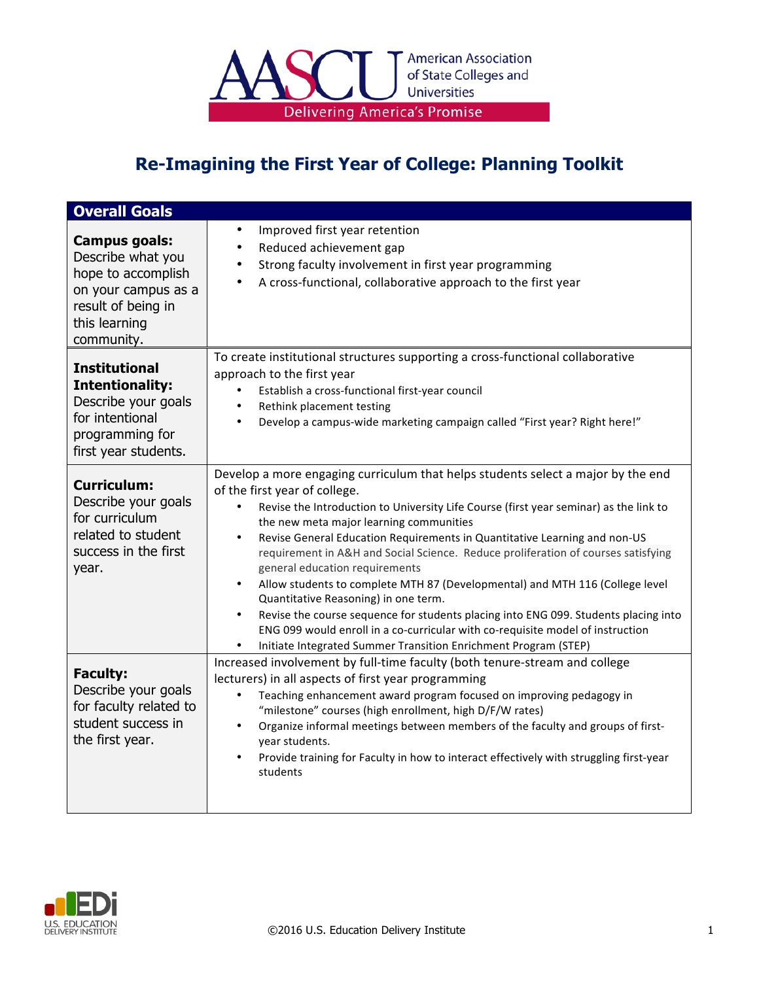

| <b>Overall Goals</b>                                                                                                                 |                                                                                                                                                                                                                                                                                                                                                                                                                                                                                                                                                                                                                                                                                                                                                                                                                                                                                   |
|--------------------------------------------------------------------------------------------------------------------------------------|-----------------------------------------------------------------------------------------------------------------------------------------------------------------------------------------------------------------------------------------------------------------------------------------------------------------------------------------------------------------------------------------------------------------------------------------------------------------------------------------------------------------------------------------------------------------------------------------------------------------------------------------------------------------------------------------------------------------------------------------------------------------------------------------------------------------------------------------------------------------------------------|
| Campus goals:<br>Describe what you<br>hope to accomplish<br>on your campus as a<br>result of being in<br>this learning<br>community. | Improved first year retention<br>$\bullet$<br>Reduced achievement gap<br>$\bullet$<br>Strong faculty involvement in first year programming<br>A cross-functional, collaborative approach to the first year                                                                                                                                                                                                                                                                                                                                                                                                                                                                                                                                                                                                                                                                        |
| <b>Institutional</b><br><b>Intentionality:</b><br>Describe your goals<br>for intentional<br>programming for<br>first year students.  | To create institutional structures supporting a cross-functional collaborative<br>approach to the first year<br>Establish a cross-functional first-year council<br>Rethink placement testing<br>$\bullet$<br>Develop a campus-wide marketing campaign called "First year? Right here!"<br>$\bullet$                                                                                                                                                                                                                                                                                                                                                                                                                                                                                                                                                                               |
| <b>Curriculum:</b><br>Describe your goals<br>for curriculum<br>related to student<br>success in the first<br>year.                   | Develop a more engaging curriculum that helps students select a major by the end<br>of the first year of college.<br>Revise the Introduction to University Life Course (first year seminar) as the link to<br>$\bullet$<br>the new meta major learning communities<br>Revise General Education Requirements in Quantitative Learning and non-US<br>$\bullet$<br>requirement in A&H and Social Science. Reduce proliferation of courses satisfying<br>general education requirements<br>Allow students to complete MTH 87 (Developmental) and MTH 116 (College level<br>$\bullet$<br>Quantitative Reasoning) in one term.<br>Revise the course sequence for students placing into ENG 099. Students placing into<br>$\bullet$<br>ENG 099 would enroll in a co-curricular with co-requisite model of instruction<br>Initiate Integrated Summer Transition Enrichment Program (STEP) |
| <b>Faculty:</b><br>Describe your goals<br>for faculty related to<br>student success in<br>the first year.                            | Increased involvement by full-time faculty (both tenure-stream and college<br>lecturers) in all aspects of first year programming<br>Teaching enhancement award program focused on improving pedagogy in<br>$\bullet$<br>"milestone" courses (high enrollment, high D/F/W rates)<br>Organize informal meetings between members of the faculty and groups of first-<br>$\bullet$<br>year students.<br>Provide training for Faculty in how to interact effectively with struggling first-year<br>$\bullet$<br>students                                                                                                                                                                                                                                                                                                                                                              |

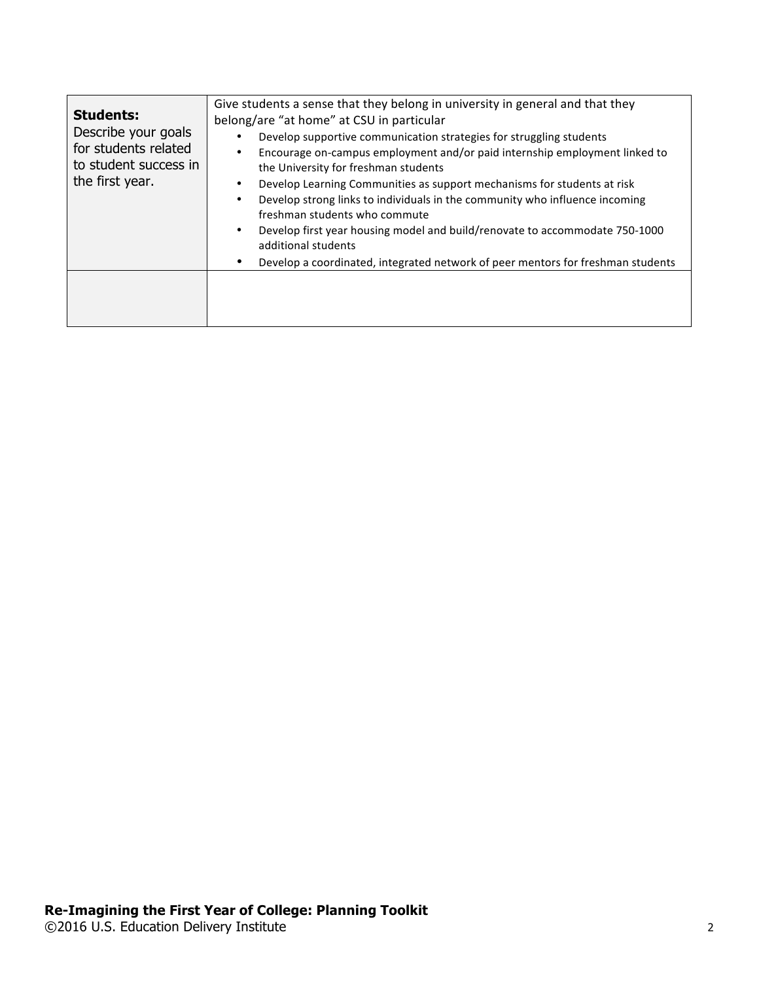| <b>Students:</b><br>Describe your goals<br>for students related<br>to student success in<br>the first year. | Give students a sense that they belong in university in general and that they<br>belong/are "at home" at CSU in particular<br>Develop supportive communication strategies for struggling students<br>Encourage on-campus employment and/or paid internship employment linked to<br>٠<br>the University for freshman students<br>Develop Learning Communities as support mechanisms for students at risk<br>٠<br>Develop strong links to individuals in the community who influence incoming<br>$\bullet$<br>freshman students who commute<br>Develop first year housing model and build/renovate to accommodate 750-1000<br>$\bullet$<br>additional students |
|-------------------------------------------------------------------------------------------------------------|--------------------------------------------------------------------------------------------------------------------------------------------------------------------------------------------------------------------------------------------------------------------------------------------------------------------------------------------------------------------------------------------------------------------------------------------------------------------------------------------------------------------------------------------------------------------------------------------------------------------------------------------------------------|
|                                                                                                             | Develop a coordinated, integrated network of peer mentors for freshman students                                                                                                                                                                                                                                                                                                                                                                                                                                                                                                                                                                              |
|                                                                                                             |                                                                                                                                                                                                                                                                                                                                                                                                                                                                                                                                                                                                                                                              |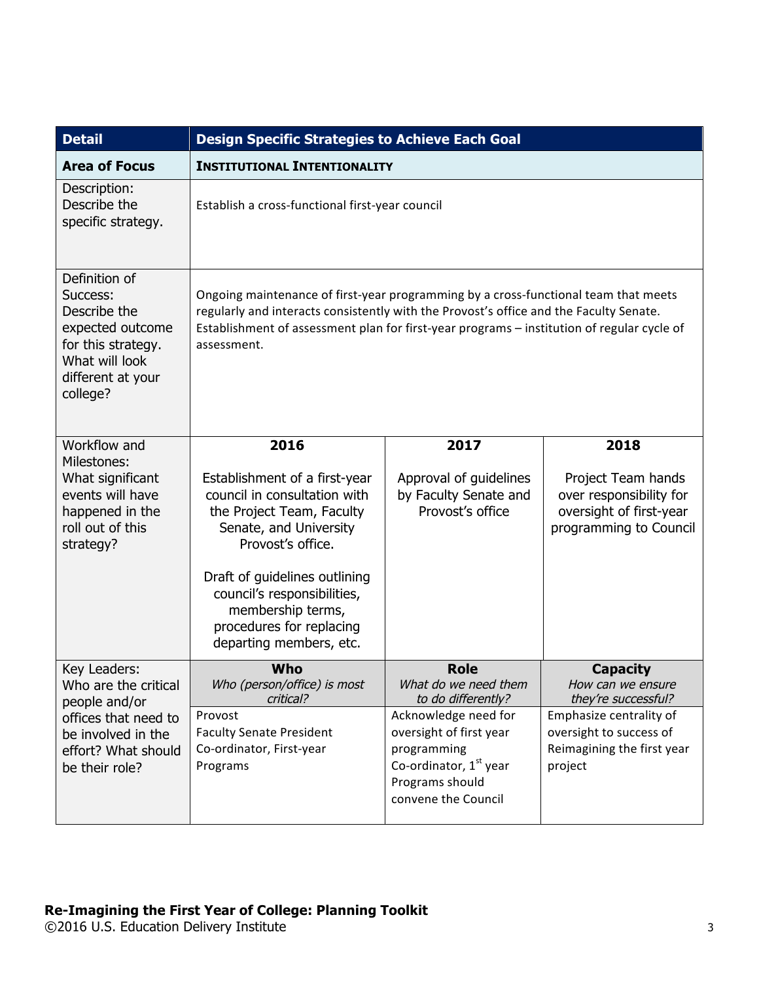| <b>Detail</b>                                                                                                                          | <b>Design Specific Strategies to Achieve Each Goal</b>                                                                                                                                                                                                                                     |                                                                                                                                      |                                                                                                    |
|----------------------------------------------------------------------------------------------------------------------------------------|--------------------------------------------------------------------------------------------------------------------------------------------------------------------------------------------------------------------------------------------------------------------------------------------|--------------------------------------------------------------------------------------------------------------------------------------|----------------------------------------------------------------------------------------------------|
| <b>Area of Focus</b>                                                                                                                   | <b>INSTITUTIONAL INTENTIONALITY</b>                                                                                                                                                                                                                                                        |                                                                                                                                      |                                                                                                    |
| Description:<br>Describe the<br>specific strategy.                                                                                     | Establish a cross-functional first-year council                                                                                                                                                                                                                                            |                                                                                                                                      |                                                                                                    |
| Definition of<br>Success:<br>Describe the<br>expected outcome<br>for this strategy.<br>What will look<br>different at your<br>college? | Ongoing maintenance of first-year programming by a cross-functional team that meets<br>regularly and interacts consistently with the Provost's office and the Faculty Senate.<br>Establishment of assessment plan for first-year programs - institution of regular cycle of<br>assessment. |                                                                                                                                      |                                                                                                    |
| Workflow and                                                                                                                           | 2016                                                                                                                                                                                                                                                                                       | 2017                                                                                                                                 | 2018                                                                                               |
| Milestones:<br>What significant<br>events will have<br>happened in the<br>roll out of this<br>strategy?                                | Establishment of a first-year<br>council in consultation with<br>the Project Team, Faculty<br>Senate, and University<br>Provost's office.<br>Draft of guidelines outlining<br>council's responsibilities,<br>membership terms,<br>procedures for replacing<br>departing members, etc.      | Approval of guidelines<br>by Faculty Senate and<br>Provost's office                                                                  | Project Team hands<br>over responsibility for<br>oversight of first-year<br>programming to Council |
| Key Leaders:                                                                                                                           | Who                                                                                                                                                                                                                                                                                        | <b>Role</b>                                                                                                                          | <b>Capacity</b>                                                                                    |
| Who are the critical<br>people and/or                                                                                                  | Who (person/office) is most<br>critical?                                                                                                                                                                                                                                                   | What do we need them<br>to do differently?                                                                                           | How can we ensure<br>they're successful?                                                           |
| offices that need to<br>be involved in the<br>effort? What should<br>be their role?                                                    | Provost<br><b>Faculty Senate President</b><br>Co-ordinator, First-year<br>Programs                                                                                                                                                                                                         | Acknowledge need for<br>oversight of first year<br>programming<br>Co-ordinator, $1st$ year<br>Programs should<br>convene the Council | Emphasize centrality of<br>oversight to success of<br>Reimagining the first year<br>project        |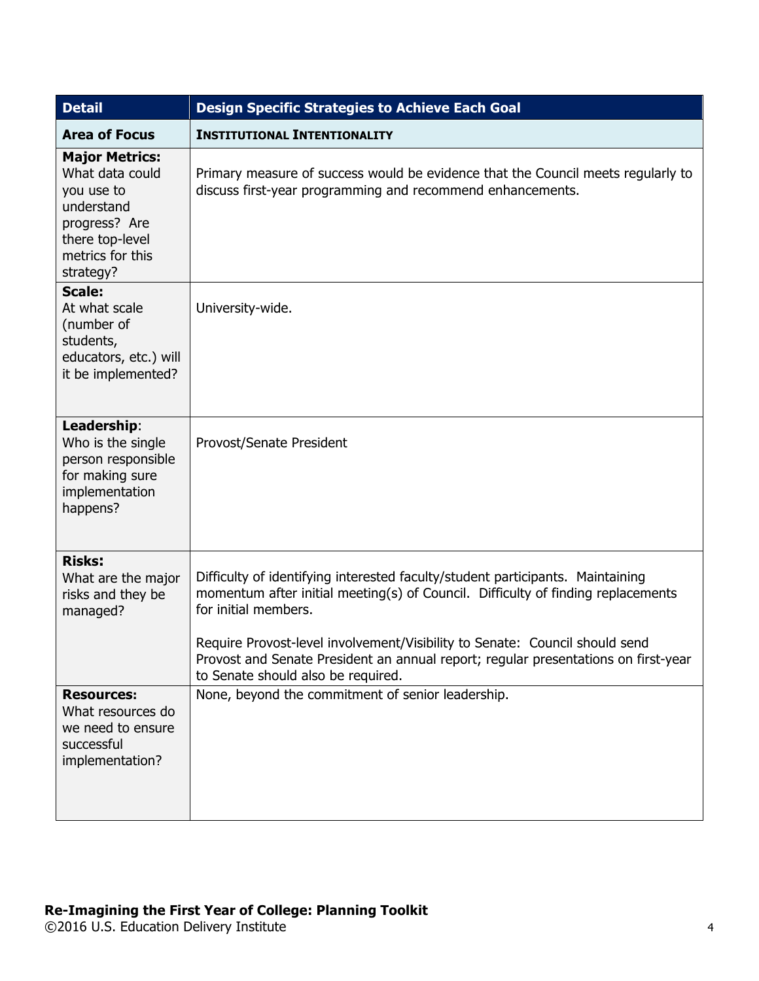| <b>Detail</b>                                                                                                                             | <b>Design Specific Strategies to Achieve Each Goal</b>                                                                                                                                                                                                                                                                                                                                                |  |  |
|-------------------------------------------------------------------------------------------------------------------------------------------|-------------------------------------------------------------------------------------------------------------------------------------------------------------------------------------------------------------------------------------------------------------------------------------------------------------------------------------------------------------------------------------------------------|--|--|
| <b>Area of Focus</b>                                                                                                                      | <b>INSTITUTIONAL INTENTIONALITY</b>                                                                                                                                                                                                                                                                                                                                                                   |  |  |
| <b>Major Metrics:</b><br>What data could<br>you use to<br>understand<br>progress? Are<br>there top-level<br>metrics for this<br>strategy? | Primary measure of success would be evidence that the Council meets regularly to<br>discuss first-year programming and recommend enhancements.                                                                                                                                                                                                                                                        |  |  |
| <b>Scale:</b><br>At what scale<br>(number of<br>students,<br>educators, etc.) will<br>it be implemented?                                  | University-wide.                                                                                                                                                                                                                                                                                                                                                                                      |  |  |
| Leadership:<br>Who is the single<br>person responsible<br>for making sure<br>implementation<br>happens?                                   | Provost/Senate President                                                                                                                                                                                                                                                                                                                                                                              |  |  |
| <b>Risks:</b><br>What are the major<br>risks and they be<br>managed?                                                                      | Difficulty of identifying interested faculty/student participants. Maintaining<br>momentum after initial meeting(s) of Council. Difficulty of finding replacements<br>for initial members.<br>Require Provost-level involvement/Visibility to Senate: Council should send<br>Provost and Senate President an annual report; regular presentations on first-year<br>to Senate should also be required. |  |  |
| <b>Resources:</b><br>What resources do<br>we need to ensure<br>successful<br>implementation?                                              | None, beyond the commitment of senior leadership.                                                                                                                                                                                                                                                                                                                                                     |  |  |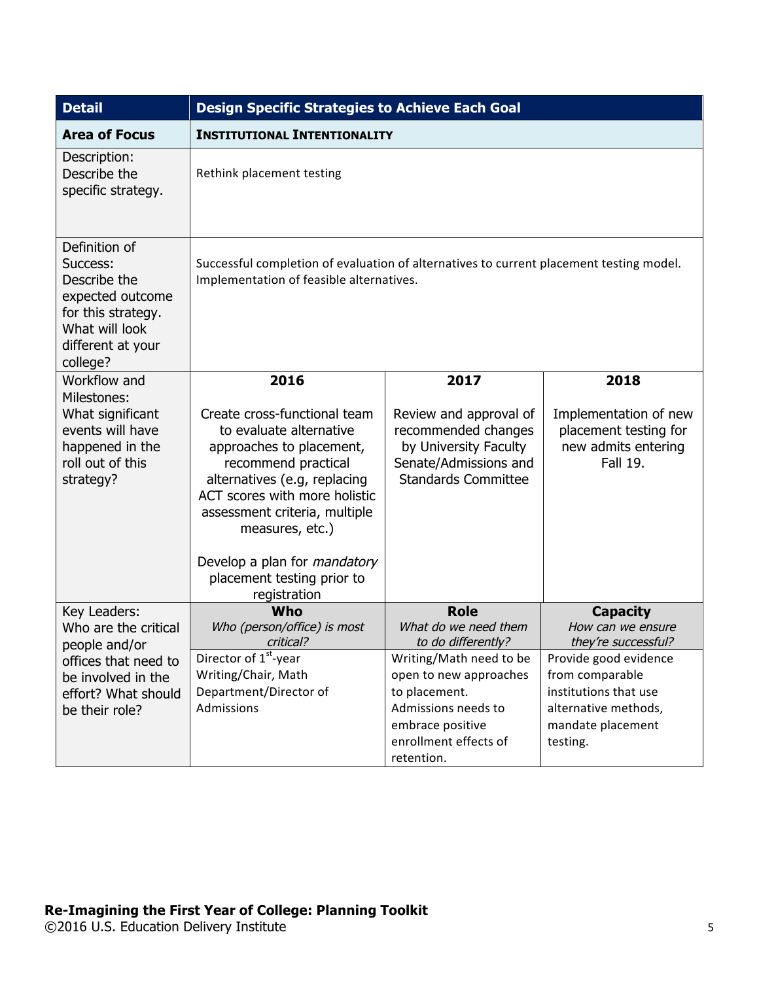| <b>Detail</b>                                                                                                                          | <b>Design Specific Strategies to Achieve Each Goal</b>                                                                                                                                                                          |                                                                                                                               |                                                                                   |
|----------------------------------------------------------------------------------------------------------------------------------------|---------------------------------------------------------------------------------------------------------------------------------------------------------------------------------------------------------------------------------|-------------------------------------------------------------------------------------------------------------------------------|-----------------------------------------------------------------------------------|
| <b>Area of Focus</b>                                                                                                                   | <b>INSTITUTIONAL INTENTIONALITY</b>                                                                                                                                                                                             |                                                                                                                               |                                                                                   |
| Description:<br>Describe the<br>specific strategy.                                                                                     | Rethink placement testing                                                                                                                                                                                                       |                                                                                                                               |                                                                                   |
| Definition of<br>Success:<br>Describe the<br>expected outcome<br>for this strategy.<br>What will look<br>different at your<br>college? | Successful completion of evaluation of alternatives to current placement testing model.<br>Implementation of feasible alternatives.                                                                                             |                                                                                                                               |                                                                                   |
| Workflow and                                                                                                                           | 2016                                                                                                                                                                                                                            | 2017                                                                                                                          | 2018                                                                              |
| Milestones:<br>What significant<br>events will have<br>happened in the<br>roll out of this<br>strategy?                                | Create cross-functional team<br>to evaluate alternative<br>approaches to placement,<br>recommend practical<br>alternatives (e.g, replacing<br>ACT scores with more holistic<br>assessment criteria, multiple<br>measures, etc.) | Review and approval of<br>recommended changes<br>by University Faculty<br>Senate/Admissions and<br><b>Standards Committee</b> | Implementation of new<br>placement testing for<br>new admits entering<br>Fall 19. |
|                                                                                                                                        | Develop a plan for <i>mandatory</i><br>placement testing prior to<br>registration                                                                                                                                               |                                                                                                                               |                                                                                   |
| Key Leaders:<br>Who are the critical<br>people and/or<br>offices that need to                                                          | Who<br>Who (person/office) is most<br>critical?                                                                                                                                                                                 | <b>Role</b><br>What do we need them<br>to do differently?                                                                     | <b>Capacity</b><br>How can we ensure<br>they're successful?                       |
|                                                                                                                                        | Director of 1 <sup>st</sup> -year                                                                                                                                                                                               | Writing/Math need to be                                                                                                       | Provide good evidence                                                             |
| be involved in the<br>effort? What should                                                                                              | Writing/Chair, Math<br>Department/Director of                                                                                                                                                                                   | open to new approaches<br>to placement.                                                                                       | from comparable<br>institutions that use                                          |
| be their role?                                                                                                                         | Admissions                                                                                                                                                                                                                      | Admissions needs to                                                                                                           | alternative methods,                                                              |
|                                                                                                                                        |                                                                                                                                                                                                                                 | embrace positive                                                                                                              | mandate placement                                                                 |
|                                                                                                                                        |                                                                                                                                                                                                                                 | enrollment effects of                                                                                                         | testing.                                                                          |
|                                                                                                                                        |                                                                                                                                                                                                                                 | retention.                                                                                                                    |                                                                                   |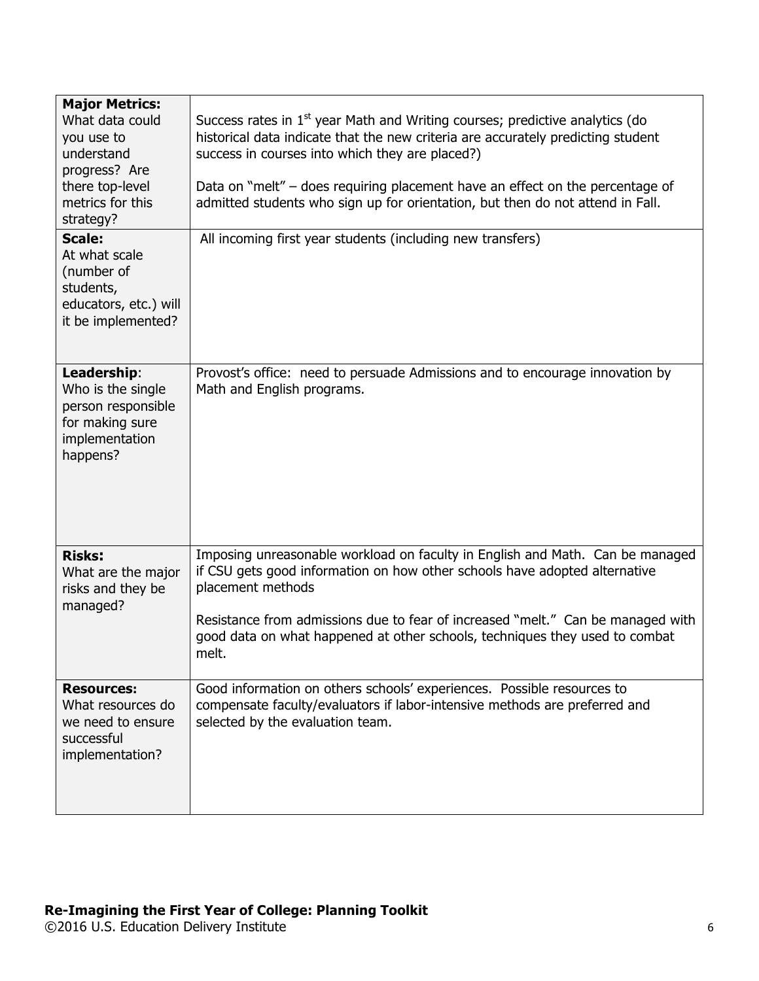| <b>Major Metrics:</b><br>What data could<br>you use to<br>understand<br>progress? Are<br>there top-level<br>metrics for this<br>strategy?<br><b>Scale:</b><br>At what scale<br>(number of<br>students,<br>educators, etc.) will<br>it be implemented? | Success rates in 1 <sup>st</sup> year Math and Writing courses; predictive analytics (do<br>historical data indicate that the new criteria are accurately predicting student<br>success in courses into which they are placed?)<br>Data on "melt" – does requiring placement have an effect on the percentage of<br>admitted students who sign up for orientation, but then do not attend in Fall.<br>All incoming first year students (including new transfers) |
|-------------------------------------------------------------------------------------------------------------------------------------------------------------------------------------------------------------------------------------------------------|------------------------------------------------------------------------------------------------------------------------------------------------------------------------------------------------------------------------------------------------------------------------------------------------------------------------------------------------------------------------------------------------------------------------------------------------------------------|
| Leadership:<br>Who is the single<br>person responsible<br>for making sure<br>implementation<br>happens?                                                                                                                                               | Provost's office: need to persuade Admissions and to encourage innovation by<br>Math and English programs.                                                                                                                                                                                                                                                                                                                                                       |
| <b>Risks:</b><br>What are the major<br>risks and they be<br>managed?                                                                                                                                                                                  | Imposing unreasonable workload on faculty in English and Math. Can be managed<br>if CSU gets good information on how other schools have adopted alternative<br>placement methods<br>Resistance from admissions due to fear of increased "melt." Can be managed with<br>good data on what happened at other schools, techniques they used to combat<br>melt.                                                                                                      |
| <b>Resources:</b><br>What resources do<br>we need to ensure<br>successful<br>implementation?                                                                                                                                                          | Good information on others schools' experiences. Possible resources to<br>compensate faculty/evaluators if labor-intensive methods are preferred and<br>selected by the evaluation team.                                                                                                                                                                                                                                                                         |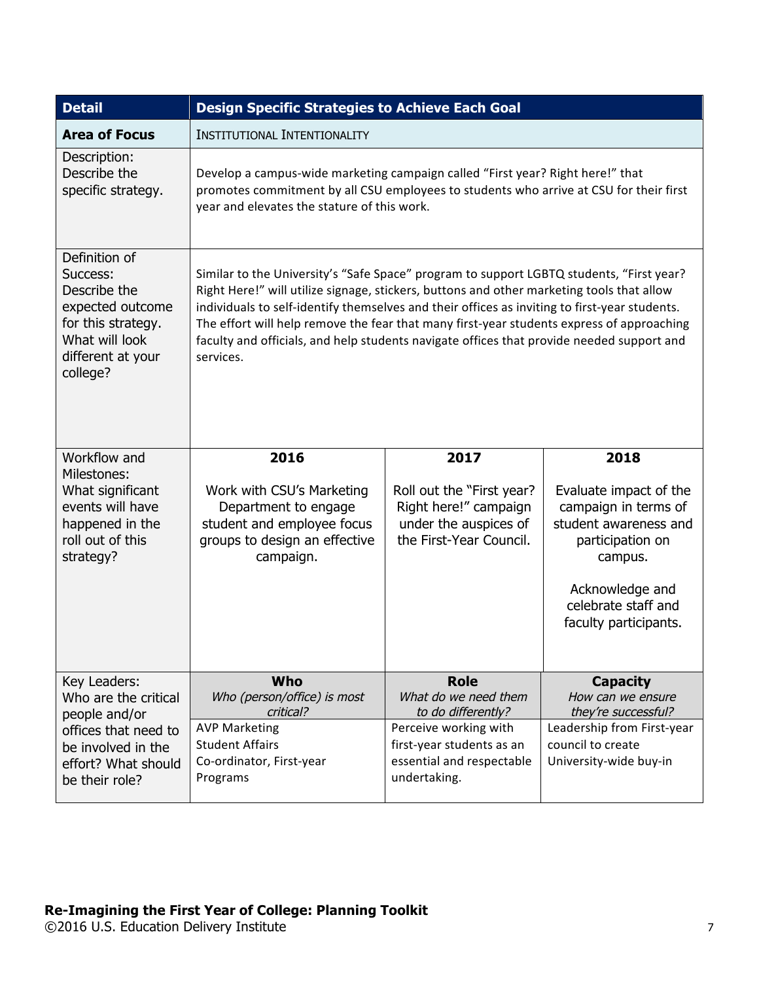| <b>Detail</b>                                                                                                                          | <b>Design Specific Strategies to Achieve Each Goal</b>                                                                                                                                                                                                                                                                                                                                                                                                                                        |                                                                                                        |                                                                                                                                                                           |  |
|----------------------------------------------------------------------------------------------------------------------------------------|-----------------------------------------------------------------------------------------------------------------------------------------------------------------------------------------------------------------------------------------------------------------------------------------------------------------------------------------------------------------------------------------------------------------------------------------------------------------------------------------------|--------------------------------------------------------------------------------------------------------|---------------------------------------------------------------------------------------------------------------------------------------------------------------------------|--|
| <b>Area of Focus</b>                                                                                                                   | <b>INSTITUTIONAL INTENTIONALITY</b>                                                                                                                                                                                                                                                                                                                                                                                                                                                           |                                                                                                        |                                                                                                                                                                           |  |
| Description:<br>Describe the<br>specific strategy.                                                                                     | Develop a campus-wide marketing campaign called "First year? Right here!" that<br>promotes commitment by all CSU employees to students who arrive at CSU for their first<br>year and elevates the stature of this work.                                                                                                                                                                                                                                                                       |                                                                                                        |                                                                                                                                                                           |  |
| Definition of<br>Success:<br>Describe the<br>expected outcome<br>for this strategy.<br>What will look<br>different at your<br>college? | Similar to the University's "Safe Space" program to support LGBTQ students, "First year?<br>Right Here!" will utilize signage, stickers, buttons and other marketing tools that allow<br>individuals to self-identify themselves and their offices as inviting to first-year students.<br>The effort will help remove the fear that many first-year students express of approaching<br>faculty and officials, and help students navigate offices that provide needed support and<br>services. |                                                                                                        |                                                                                                                                                                           |  |
| Workflow and                                                                                                                           | 2016<br>2017<br>2018                                                                                                                                                                                                                                                                                                                                                                                                                                                                          |                                                                                                        |                                                                                                                                                                           |  |
| Milestones:<br>What significant<br>events will have<br>happened in the<br>roll out of this<br>strategy?                                | Work with CSU's Marketing<br>Department to engage<br>student and employee focus<br>groups to design an effective<br>campaign.                                                                                                                                                                                                                                                                                                                                                                 | Roll out the "First year?<br>Right here!" campaign<br>under the auspices of<br>the First-Year Council. | Evaluate impact of the<br>campaign in terms of<br>student awareness and<br>participation on<br>campus.<br>Acknowledge and<br>celebrate staff and<br>faculty participants. |  |
| Key Leaders:                                                                                                                           | Who                                                                                                                                                                                                                                                                                                                                                                                                                                                                                           | <b>Role</b>                                                                                            | <b>Capacity</b>                                                                                                                                                           |  |
| Who are the critical<br>people and/or                                                                                                  | Who (person/office) is most<br>critical?                                                                                                                                                                                                                                                                                                                                                                                                                                                      | What do we need them<br>to do differently?                                                             | How can we ensure<br>they're successful?                                                                                                                                  |  |
| offices that need to                                                                                                                   | <b>AVP Marketing</b>                                                                                                                                                                                                                                                                                                                                                                                                                                                                          | Perceive working with                                                                                  | Leadership from First-year                                                                                                                                                |  |
| be involved in the<br>effort? What should                                                                                              | <b>Student Affairs</b><br>Co-ordinator, First-year                                                                                                                                                                                                                                                                                                                                                                                                                                            | first-year students as an<br>essential and respectable                                                 | council to create<br>University-wide buy-in                                                                                                                               |  |
| be their role?                                                                                                                         | Programs                                                                                                                                                                                                                                                                                                                                                                                                                                                                                      | undertaking.                                                                                           |                                                                                                                                                                           |  |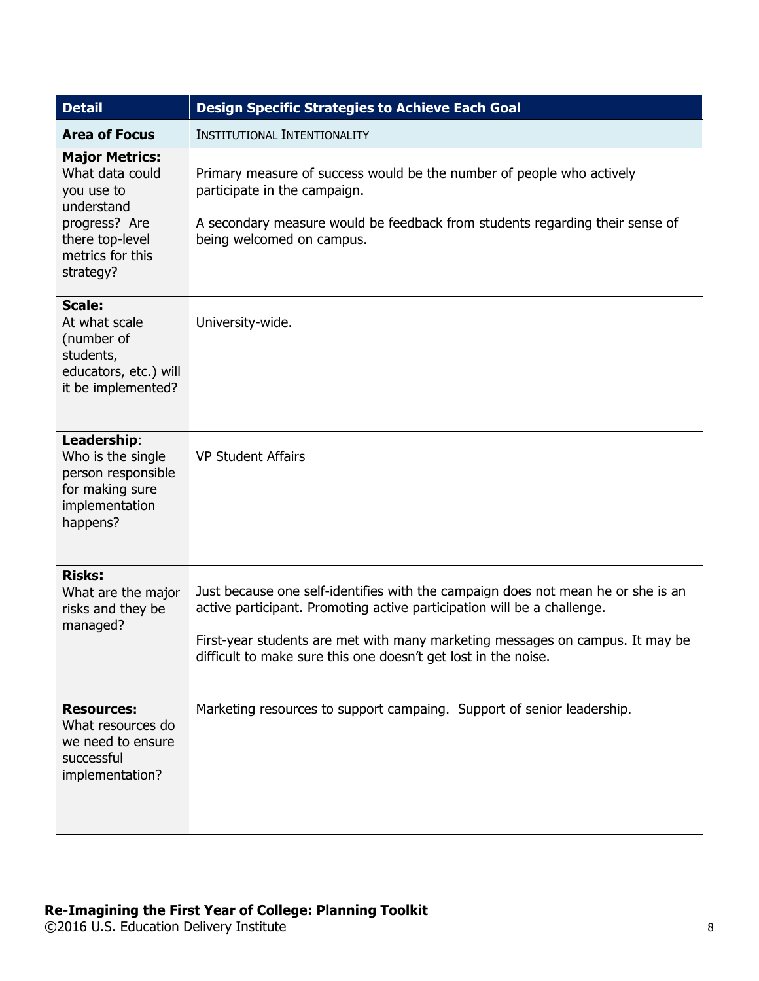| <b>Detail</b>                                                                                                                             | <b>Design Specific Strategies to Achieve Each Goal</b>                                                                                                                                                                                                                                                         |  |  |
|-------------------------------------------------------------------------------------------------------------------------------------------|----------------------------------------------------------------------------------------------------------------------------------------------------------------------------------------------------------------------------------------------------------------------------------------------------------------|--|--|
| <b>Area of Focus</b>                                                                                                                      | <b>INSTITUTIONAL INTENTIONALITY</b>                                                                                                                                                                                                                                                                            |  |  |
| <b>Major Metrics:</b><br>What data could<br>you use to<br>understand<br>progress? Are<br>there top-level<br>metrics for this<br>strategy? | Primary measure of success would be the number of people who actively<br>participate in the campaign.<br>A secondary measure would be feedback from students regarding their sense of<br>being welcomed on campus.                                                                                             |  |  |
| <b>Scale:</b><br>At what scale<br>(number of<br>students,<br>educators, etc.) will<br>it be implemented?                                  | University-wide.                                                                                                                                                                                                                                                                                               |  |  |
| Leadership:<br>Who is the single<br>person responsible<br>for making sure<br>implementation<br>happens?                                   | <b>VP Student Affairs</b>                                                                                                                                                                                                                                                                                      |  |  |
| <b>Risks:</b><br>What are the major<br>risks and they be<br>managed?                                                                      | Just because one self-identifies with the campaign does not mean he or she is an<br>active participant. Promoting active participation will be a challenge.<br>First-year students are met with many marketing messages on campus. It may be<br>difficult to make sure this one doesn't get lost in the noise. |  |  |
| <b>Resources:</b><br>What resources do<br>we need to ensure<br>successful<br>implementation?                                              | Marketing resources to support campaing. Support of senior leadership.                                                                                                                                                                                                                                         |  |  |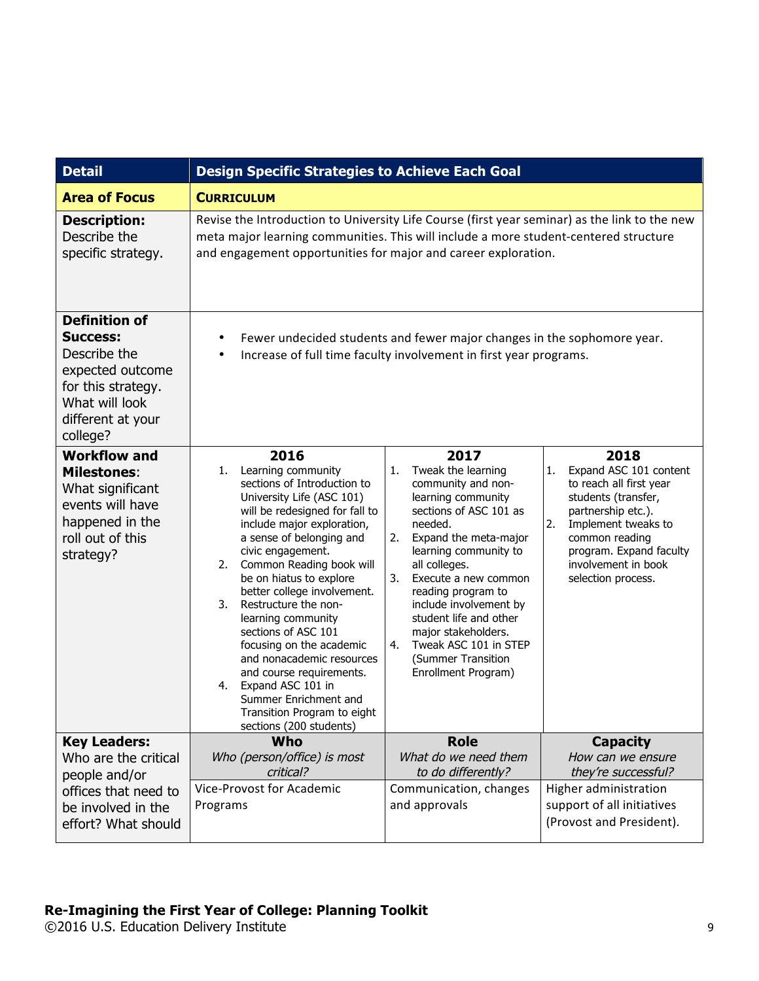| <b>Detail</b>                                                                                                                                        | <b>Design Specific Strategies to Achieve Each Goal</b>                                                                                                                                                                                                                                                                                                                                                                                                                                                                                                                            |                                                                                                                                                                                                                                                                                                                                                                                                       |                                                                                                                                                                                                                                     |
|------------------------------------------------------------------------------------------------------------------------------------------------------|-----------------------------------------------------------------------------------------------------------------------------------------------------------------------------------------------------------------------------------------------------------------------------------------------------------------------------------------------------------------------------------------------------------------------------------------------------------------------------------------------------------------------------------------------------------------------------------|-------------------------------------------------------------------------------------------------------------------------------------------------------------------------------------------------------------------------------------------------------------------------------------------------------------------------------------------------------------------------------------------------------|-------------------------------------------------------------------------------------------------------------------------------------------------------------------------------------------------------------------------------------|
| <b>Area of Focus</b>                                                                                                                                 | <b>CURRICULUM</b>                                                                                                                                                                                                                                                                                                                                                                                                                                                                                                                                                                 |                                                                                                                                                                                                                                                                                                                                                                                                       |                                                                                                                                                                                                                                     |
| <b>Description:</b><br>Describe the<br>specific strategy.                                                                                            | Revise the Introduction to University Life Course (first year seminar) as the link to the new<br>meta major learning communities. This will include a more student-centered structure<br>and engagement opportunities for major and career exploration.                                                                                                                                                                                                                                                                                                                           |                                                                                                                                                                                                                                                                                                                                                                                                       |                                                                                                                                                                                                                                     |
| <b>Definition of</b><br><b>Success:</b><br>Describe the<br>expected outcome<br>for this strategy.<br>What will look<br>different at your<br>college? | ٠<br>٠                                                                                                                                                                                                                                                                                                                                                                                                                                                                                                                                                                            | Fewer undecided students and fewer major changes in the sophomore year.<br>Increase of full time faculty involvement in first year programs.                                                                                                                                                                                                                                                          |                                                                                                                                                                                                                                     |
| <b>Workflow and</b><br><b>Milestones:</b><br>What significant<br>events will have<br>happened in the<br>roll out of this<br>strategy?                | 2016<br>Learning community<br>1.<br>sections of Introduction to<br>University Life (ASC 101)<br>will be redesigned for fall to<br>include major exploration,<br>a sense of belonging and<br>civic engagement.<br>2. Common Reading book will<br>be on hiatus to explore<br>better college involvement.<br>Restructure the non-<br>3.<br>learning community<br>sections of ASC 101<br>focusing on the academic<br>and nonacademic resources<br>and course requirements.<br>4. Expand ASC 101 in<br>Summer Enrichment and<br>Transition Program to eight<br>sections (200 students) | 2017<br>1.<br>Tweak the learning<br>community and non-<br>learning community<br>sections of ASC 101 as<br>needed.<br>2.<br>Expand the meta-major<br>learning community to<br>all colleges.<br>3.<br>Execute a new common<br>reading program to<br>include involvement by<br>student life and other<br>major stakeholders.<br>Tweak ASC 101 in STEP<br>4.<br>(Summer Transition<br>Enrollment Program) | 2018<br>Expand ASC 101 content<br>1.<br>to reach all first year<br>students (transfer,<br>partnership etc.).<br>2.<br>Implement tweaks to<br>common reading<br>program. Expand faculty<br>involvement in book<br>selection process. |
| <b>Key Leaders:</b><br>Who are the critical<br>people and/or<br>offices that need to<br>be involved in the<br>effort? What should                    | Who<br>Who (person/office) is most<br>critical?<br><b>Vice-Provost for Academic</b><br>Programs                                                                                                                                                                                                                                                                                                                                                                                                                                                                                   | <b>Role</b><br>What do we need them<br>to do differently?<br>Communication, changes<br>and approvals                                                                                                                                                                                                                                                                                                  | <b>Capacity</b><br>How can we ensure<br>they're successful?<br>Higher administration<br>support of all initiatives<br>(Provost and President).                                                                                      |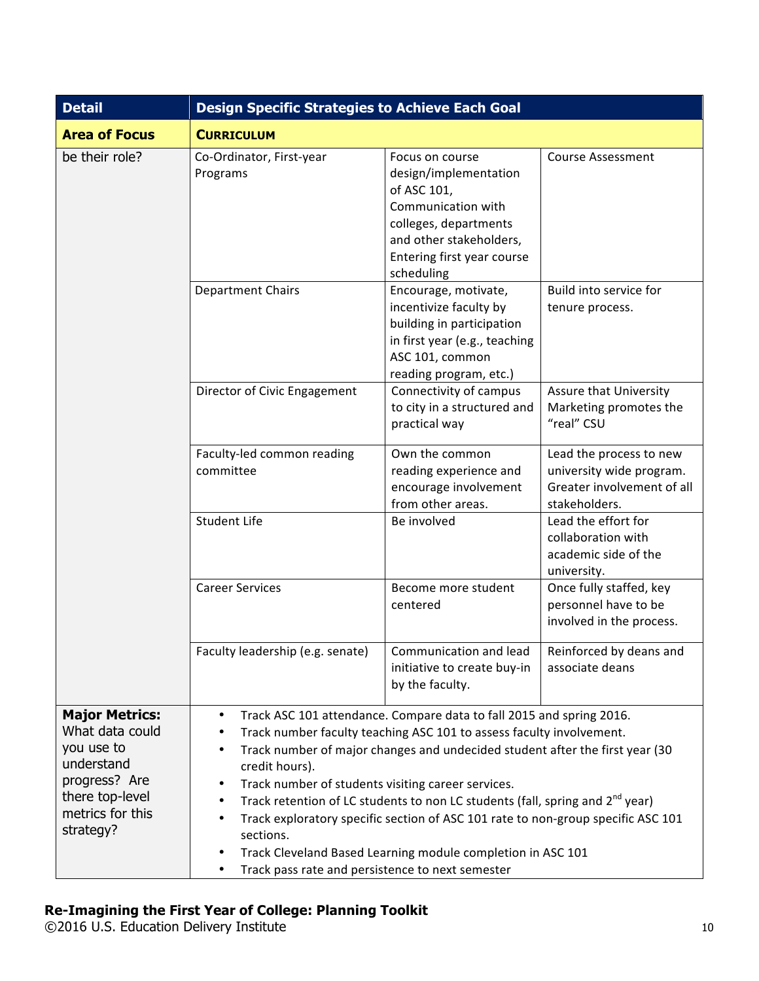| <b>Detail</b>                                                                                                                             | <b>Design Specific Strategies to Achieve Each Goal</b>                                                                                                                                                                                                                                                                                                                                                                                                                                                                                                                                                                                                                                                |                                                                                                                                                                               |                                                                                                    |
|-------------------------------------------------------------------------------------------------------------------------------------------|-------------------------------------------------------------------------------------------------------------------------------------------------------------------------------------------------------------------------------------------------------------------------------------------------------------------------------------------------------------------------------------------------------------------------------------------------------------------------------------------------------------------------------------------------------------------------------------------------------------------------------------------------------------------------------------------------------|-------------------------------------------------------------------------------------------------------------------------------------------------------------------------------|----------------------------------------------------------------------------------------------------|
| <b>Area of Focus</b>                                                                                                                      | <b>CURRICULUM</b>                                                                                                                                                                                                                                                                                                                                                                                                                                                                                                                                                                                                                                                                                     |                                                                                                                                                                               |                                                                                                    |
| be their role?                                                                                                                            | Co-Ordinator, First-year<br>Programs                                                                                                                                                                                                                                                                                                                                                                                                                                                                                                                                                                                                                                                                  | Focus on course<br>design/implementation<br>of ASC 101,<br>Communication with<br>colleges, departments<br>and other stakeholders,<br>Entering first year course<br>scheduling | <b>Course Assessment</b>                                                                           |
|                                                                                                                                           | <b>Department Chairs</b>                                                                                                                                                                                                                                                                                                                                                                                                                                                                                                                                                                                                                                                                              | Encourage, motivate,<br>incentivize faculty by<br>building in participation<br>in first year (e.g., teaching<br>ASC 101, common<br>reading program, etc.)                     | Build into service for<br>tenure process.                                                          |
|                                                                                                                                           | Director of Civic Engagement                                                                                                                                                                                                                                                                                                                                                                                                                                                                                                                                                                                                                                                                          | Connectivity of campus<br>to city in a structured and<br>practical way                                                                                                        | Assure that University<br>Marketing promotes the<br>"real" CSU                                     |
|                                                                                                                                           | Faculty-led common reading<br>committee                                                                                                                                                                                                                                                                                                                                                                                                                                                                                                                                                                                                                                                               | Own the common<br>reading experience and<br>encourage involvement<br>from other areas.                                                                                        | Lead the process to new<br>university wide program.<br>Greater involvement of all<br>stakeholders. |
|                                                                                                                                           | <b>Student Life</b>                                                                                                                                                                                                                                                                                                                                                                                                                                                                                                                                                                                                                                                                                   | Be involved                                                                                                                                                                   | Lead the effort for<br>collaboration with<br>academic side of the<br>university.                   |
|                                                                                                                                           | <b>Career Services</b>                                                                                                                                                                                                                                                                                                                                                                                                                                                                                                                                                                                                                                                                                | Become more student<br>centered                                                                                                                                               | Once fully staffed, key<br>personnel have to be<br>involved in the process.                        |
|                                                                                                                                           | Faculty leadership (e.g. senate)                                                                                                                                                                                                                                                                                                                                                                                                                                                                                                                                                                                                                                                                      | Communication and lead $\vert$ Reinforced by deans and<br>initiative to create buy-in<br>by the faculty.                                                                      | associate deans                                                                                    |
| <b>Major Metrics:</b><br>What data could<br>you use to<br>understand<br>progress? Are<br>there top-level<br>metrics for this<br>strategy? | Track ASC 101 attendance. Compare data to fall 2015 and spring 2016.<br>$\bullet$<br>Track number faculty teaching ASC 101 to assess faculty involvement.<br>$\bullet$<br>Track number of major changes and undecided student after the first year (30<br>$\bullet$<br>credit hours).<br>Track number of students visiting career services.<br>٠<br>Track retention of LC students to non LC students (fall, spring and 2 <sup>nd</sup> year)<br>٠<br>Track exploratory specific section of ASC 101 rate to non-group specific ASC 101<br>$\bullet$<br>sections.<br>Track Cleveland Based Learning module completion in ASC 101<br>$\bullet$<br>Track pass rate and persistence to next semester<br>٠ |                                                                                                                                                                               |                                                                                                    |

©2016 U.S. Education Delivery Institute 10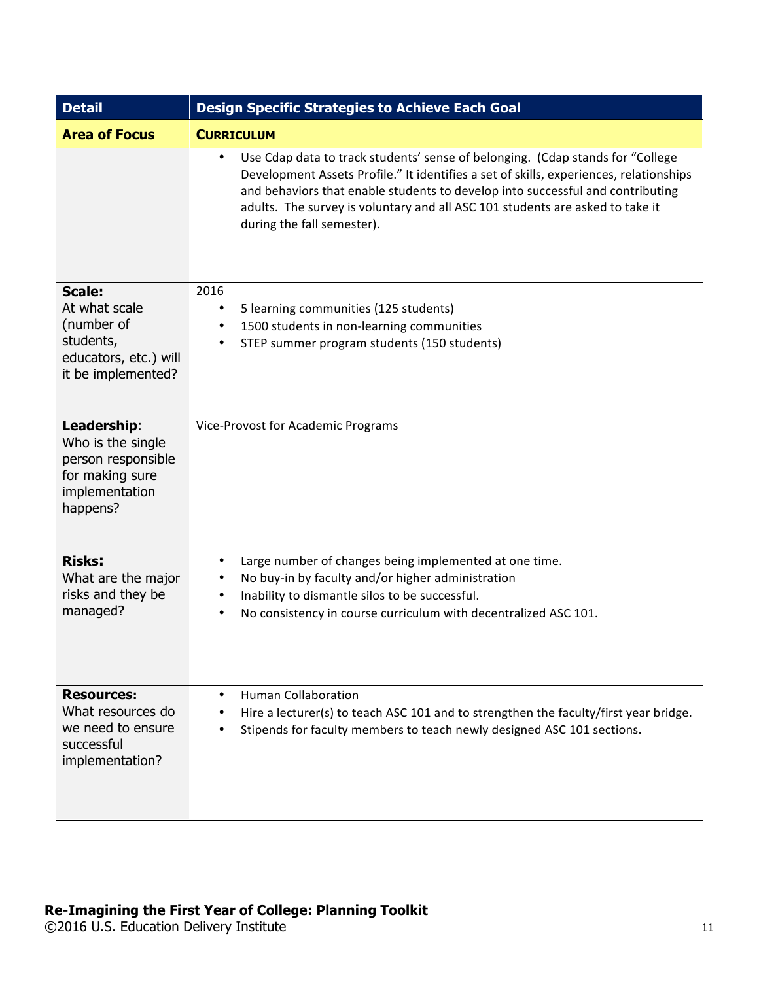| <b>Detail</b>                                                                                            | <b>Design Specific Strategies to Achieve Each Goal</b>                                                                                                                                                                                                                                                                                                                                 |  |  |
|----------------------------------------------------------------------------------------------------------|----------------------------------------------------------------------------------------------------------------------------------------------------------------------------------------------------------------------------------------------------------------------------------------------------------------------------------------------------------------------------------------|--|--|
| <b>Area of Focus</b>                                                                                     | <b>CURRICULUM</b>                                                                                                                                                                                                                                                                                                                                                                      |  |  |
|                                                                                                          | Use Cdap data to track students' sense of belonging. (Cdap stands for "College<br>$\bullet$<br>Development Assets Profile." It identifies a set of skills, experiences, relationships<br>and behaviors that enable students to develop into successful and contributing<br>adults. The survey is voluntary and all ASC 101 students are asked to take it<br>during the fall semester). |  |  |
| <b>Scale:</b><br>At what scale<br>(number of<br>students,<br>educators, etc.) will<br>it be implemented? | 2016<br>5 learning communities (125 students)<br>٠<br>1500 students in non-learning communities<br>$\bullet$<br>STEP summer program students (150 students)<br>$\bullet$                                                                                                                                                                                                               |  |  |
| Leadership:<br>Who is the single<br>person responsible<br>for making sure<br>implementation<br>happens?  | Vice-Provost for Academic Programs                                                                                                                                                                                                                                                                                                                                                     |  |  |
| <b>Risks:</b><br>What are the major<br>risks and they be<br>managed?                                     | Large number of changes being implemented at one time.<br>$\bullet$<br>No buy-in by faculty and/or higher administration<br>$\bullet$<br>Inability to dismantle silos to be successful.<br>$\bullet$<br>No consistency in course curriculum with decentralized ASC 101.<br>$\bullet$                                                                                                   |  |  |
| <b>Resources:</b><br>What resources do<br>we need to ensure<br>successful<br>implementation?             | <b>Human Collaboration</b><br>$\bullet$<br>Hire a lecturer(s) to teach ASC 101 and to strengthen the faculty/first year bridge.<br>Stipends for faculty members to teach newly designed ASC 101 sections.                                                                                                                                                                              |  |  |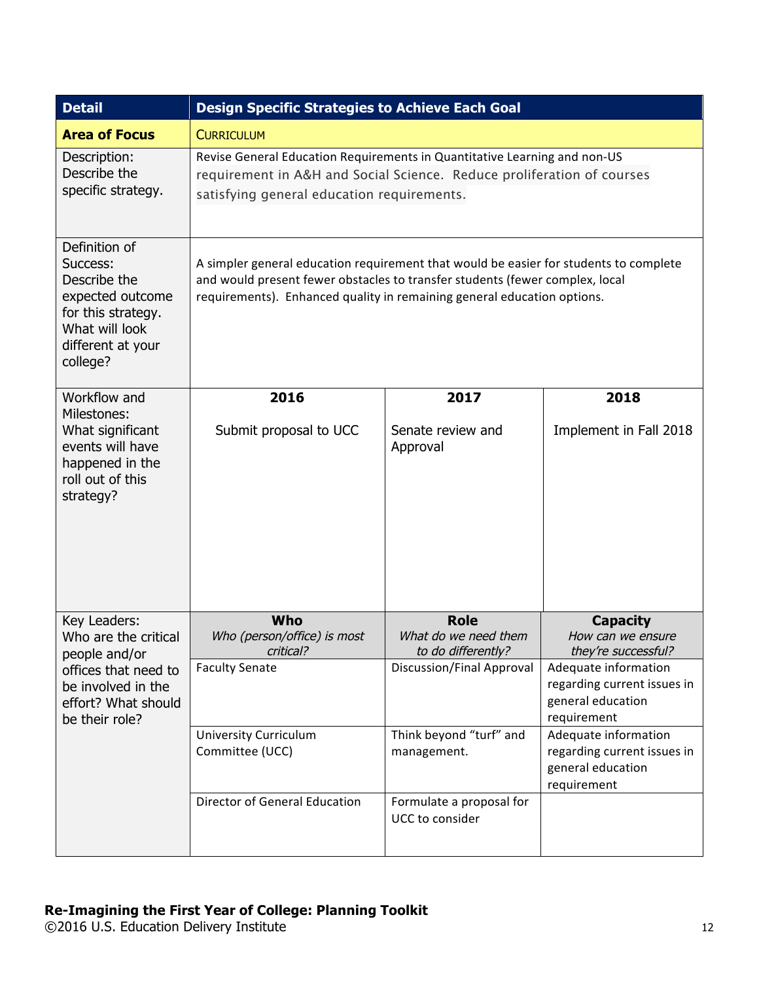| <b>Detail</b>                                                                                                                                | <b>Design Specific Strategies to Achieve Each Goal</b>                                                                                                                                                                                           |                                                           |                                                                                         |
|----------------------------------------------------------------------------------------------------------------------------------------------|--------------------------------------------------------------------------------------------------------------------------------------------------------------------------------------------------------------------------------------------------|-----------------------------------------------------------|-----------------------------------------------------------------------------------------|
| <b>Area of Focus</b>                                                                                                                         | <b>CURRICULUM</b>                                                                                                                                                                                                                                |                                                           |                                                                                         |
| Description:<br>Describe the<br>specific strategy.                                                                                           | Revise General Education Requirements in Quantitative Learning and non-US<br>requirement in A&H and Social Science. Reduce proliferation of courses<br>satisfying general education requirements.                                                |                                                           |                                                                                         |
| Definition of<br>Success:<br>Describe the<br>expected outcome<br>for this strategy.<br>What will look<br>different at your<br>college?       | A simpler general education requirement that would be easier for students to complete<br>and would present fewer obstacles to transfer students (fewer complex, local<br>requirements). Enhanced quality in remaining general education options. |                                                           |                                                                                         |
| Workflow and                                                                                                                                 | 2016                                                                                                                                                                                                                                             | 2017                                                      | 2018                                                                                    |
| Milestones:<br>What significant<br>events will have<br>happened in the<br>roll out of this<br>strategy?                                      | Submit proposal to UCC                                                                                                                                                                                                                           | Senate review and<br>Approval                             | Implement in Fall 2018                                                                  |
| Key Leaders:<br>Who are the critical<br>people and/or<br>offices that need to<br>be involved in the<br>effort? What should<br>be their role? | Who<br>Who (person/office) is most<br>critical?                                                                                                                                                                                                  | <b>Role</b><br>What do we need them<br>to do differently? | <b>Capacity</b><br>How can we ensure<br>they're successful?                             |
|                                                                                                                                              | <b>Faculty Senate</b>                                                                                                                                                                                                                            | Discussion/Final Approval                                 | Adequate information<br>regarding current issues in<br>general education<br>requirement |
|                                                                                                                                              | <b>University Curriculum</b><br>Committee (UCC)                                                                                                                                                                                                  | Think beyond "turf" and<br>management.                    | Adequate information<br>regarding current issues in<br>general education<br>requirement |
|                                                                                                                                              | <b>Director of General Education</b>                                                                                                                                                                                                             | Formulate a proposal for<br>UCC to consider               |                                                                                         |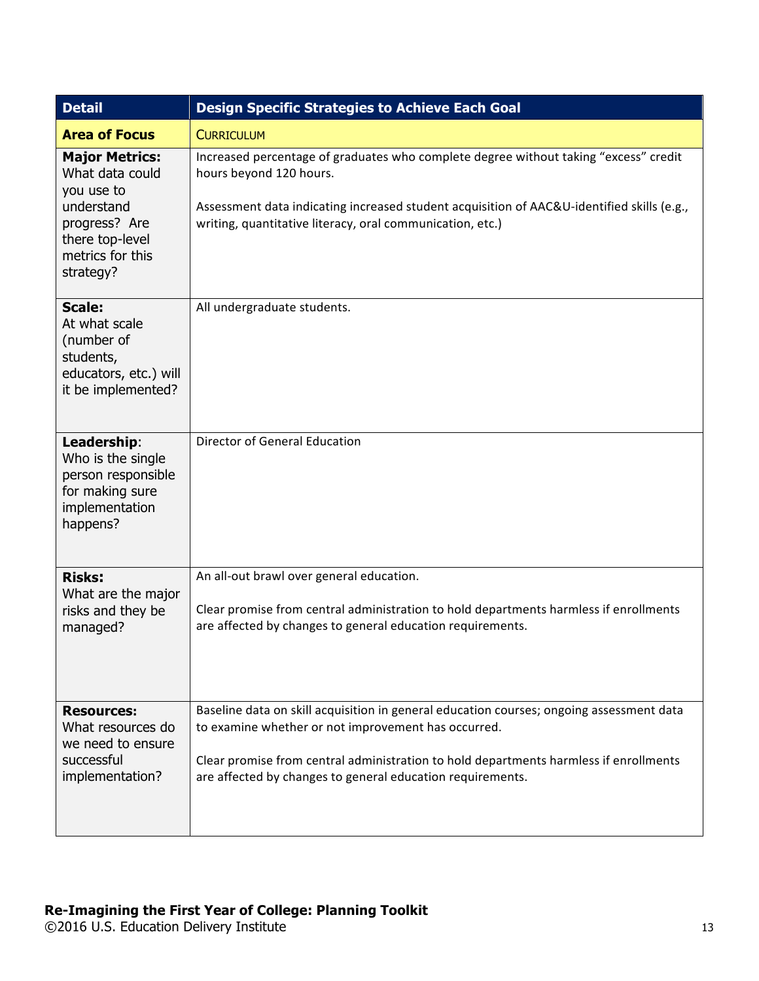| <b>Detail</b>                                                                                                                             | <b>Design Specific Strategies to Achieve Each Goal</b>                                                                                                                                                                                                                                                 |  |
|-------------------------------------------------------------------------------------------------------------------------------------------|--------------------------------------------------------------------------------------------------------------------------------------------------------------------------------------------------------------------------------------------------------------------------------------------------------|--|
| <b>Area of Focus</b>                                                                                                                      | <b>CURRICULUM</b>                                                                                                                                                                                                                                                                                      |  |
| <b>Major Metrics:</b><br>What data could<br>you use to<br>understand<br>progress? Are<br>there top-level<br>metrics for this<br>strategy? | Increased percentage of graduates who complete degree without taking "excess" credit<br>hours beyond 120 hours.<br>Assessment data indicating increased student acquisition of AAC&U-identified skills (e.g.,<br>writing, quantitative literacy, oral communication, etc.)                             |  |
| <b>Scale:</b><br>At what scale<br>(number of<br>students,<br>educators, etc.) will<br>it be implemented?                                  | All undergraduate students.                                                                                                                                                                                                                                                                            |  |
| Leadership:<br>Who is the single<br>person responsible<br>for making sure<br>implementation<br>happens?                                   | <b>Director of General Education</b>                                                                                                                                                                                                                                                                   |  |
| <b>Risks:</b><br>What are the major<br>risks and they be<br>managed?                                                                      | An all-out brawl over general education.<br>Clear promise from central administration to hold departments harmless if enrollments<br>are affected by changes to general education requirements.                                                                                                        |  |
| <b>Resources:</b><br>What resources do<br>we need to ensure<br>successful<br>implementation?                                              | Baseline data on skill acquisition in general education courses; ongoing assessment data<br>to examine whether or not improvement has occurred.<br>Clear promise from central administration to hold departments harmless if enrollments<br>are affected by changes to general education requirements. |  |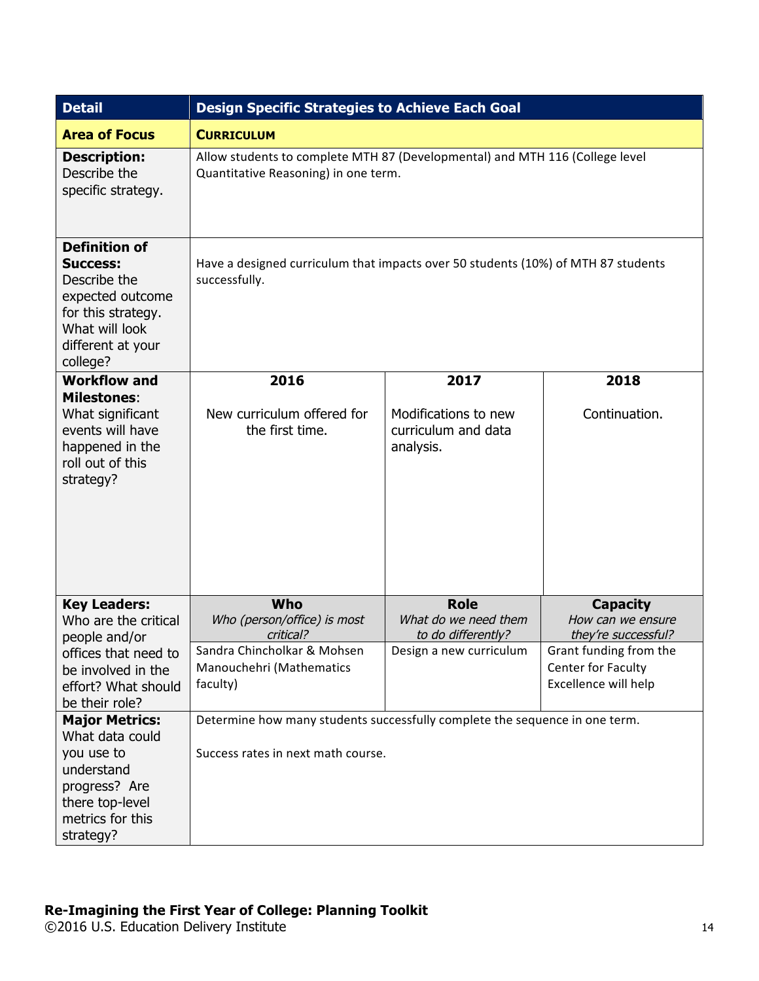| <b>Detail</b>                                                                                                                                        | <b>Design Specific Strategies to Achieve Each Goal</b>                                                               |                                                          |                                                                                             |
|------------------------------------------------------------------------------------------------------------------------------------------------------|----------------------------------------------------------------------------------------------------------------------|----------------------------------------------------------|---------------------------------------------------------------------------------------------|
| <b>Area of Focus</b>                                                                                                                                 | <b>CURRICULUM</b>                                                                                                    |                                                          |                                                                                             |
| <b>Description:</b><br>Describe the<br>specific strategy.                                                                                            | Allow students to complete MTH 87 (Developmental) and MTH 116 (College level<br>Quantitative Reasoning) in one term. |                                                          |                                                                                             |
| <b>Definition of</b><br><b>Success:</b><br>Describe the<br>expected outcome<br>for this strategy.<br>What will look<br>different at your<br>college? | Have a designed curriculum that impacts over 50 students (10%) of MTH 87 students<br>successfully.                   |                                                          |                                                                                             |
| <b>Workflow and</b>                                                                                                                                  | 2016                                                                                                                 | 2017                                                     | 2018                                                                                        |
| <b>Milestones:</b><br>What significant<br>events will have<br>happened in the<br>roll out of this<br>strategy?                                       | New curriculum offered for<br>the first time.                                                                        | Modifications to new<br>curriculum and data<br>analysis. | Continuation.                                                                               |
| <b>Key Leaders:</b><br>Who are the critical                                                                                                          | Who<br>Who (person/office) is most                                                                                   | <b>Role</b><br>What do we need them                      | <b>Capacity</b><br>How can we ensure                                                        |
| people and/or<br>offices that need to<br>be involved in the<br>effort? What should<br>be their role?                                                 | critical?<br>Sandra Chincholkar & Mohsen<br>Manouchehri (Mathematics<br>faculty)                                     | to do differently?<br>Design a new curriculum            | they're successful?<br>Grant funding from the<br>Center for Faculty<br>Excellence will help |
| <b>Major Metrics:</b><br>What data could<br>you use to<br>understand<br>progress? Are<br>there top-level<br>metrics for this<br>strategy?            | Determine how many students successfully complete the sequence in one term.<br>Success rates in next math course.    |                                                          |                                                                                             |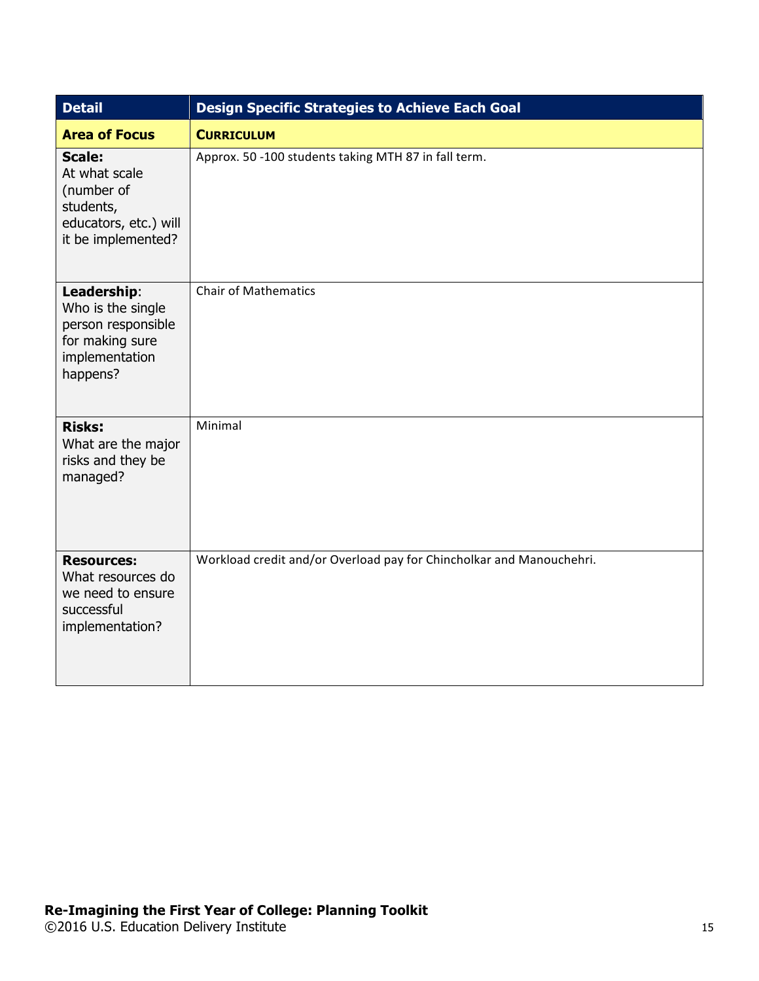| <b>Detail</b>                                                                                            | <b>Design Specific Strategies to Achieve Each Goal</b>               |
|----------------------------------------------------------------------------------------------------------|----------------------------------------------------------------------|
| <b>Area of Focus</b>                                                                                     | <b>CURRICULUM</b>                                                    |
| <b>Scale:</b><br>At what scale<br>(number of<br>students,<br>educators, etc.) will<br>it be implemented? | Approx. 50 -100 students taking MTH 87 in fall term.                 |
| Leadership:<br>Who is the single<br>person responsible<br>for making sure<br>implementation<br>happens?  | <b>Chair of Mathematics</b>                                          |
| <b>Risks:</b><br>What are the major<br>risks and they be<br>managed?                                     | Minimal                                                              |
| <b>Resources:</b><br>What resources do<br>we need to ensure<br>successful<br>implementation?             | Workload credit and/or Overload pay for Chincholkar and Manouchehri. |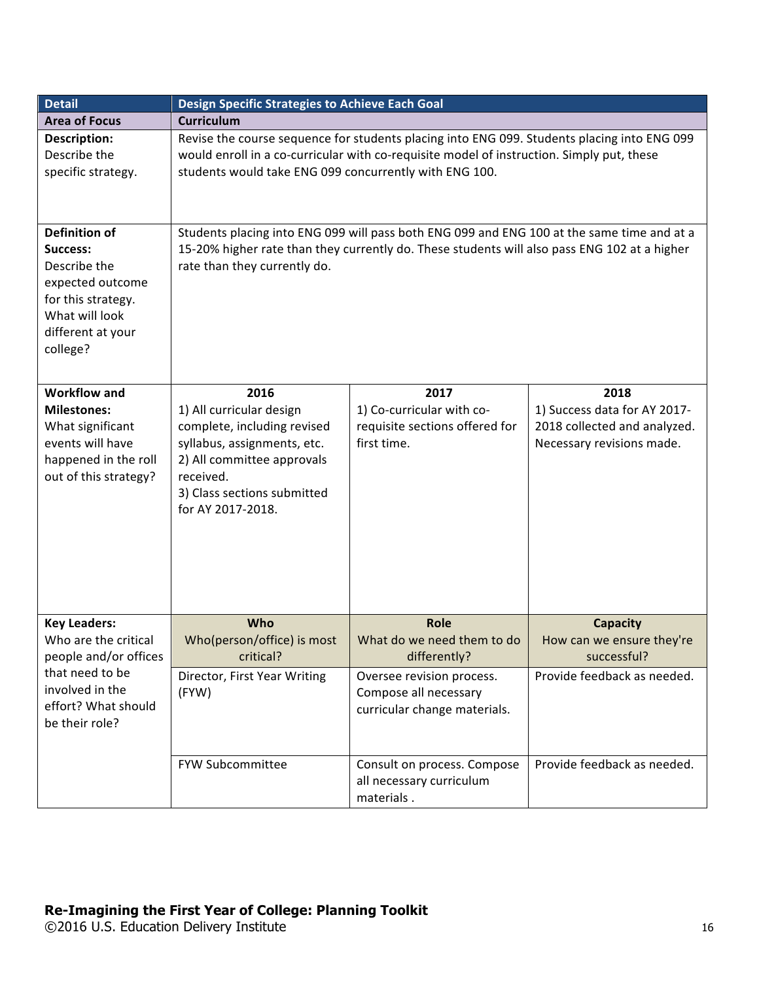| <b>Detail</b>                                                                                                                                 | Design Specific Strategies to Achieve Each Goal                                                                                                                                                                                                    |                                                                                    |                                                                                                   |
|-----------------------------------------------------------------------------------------------------------------------------------------------|----------------------------------------------------------------------------------------------------------------------------------------------------------------------------------------------------------------------------------------------------|------------------------------------------------------------------------------------|---------------------------------------------------------------------------------------------------|
| <b>Area of Focus</b>                                                                                                                          | <b>Curriculum</b>                                                                                                                                                                                                                                  |                                                                                    |                                                                                                   |
| Description:<br>Describe the<br>specific strategy.                                                                                            | Revise the course sequence for students placing into ENG 099. Students placing into ENG 099<br>would enroll in a co-curricular with co-requisite model of instruction. Simply put, these<br>students would take ENG 099 concurrently with ENG 100. |                                                                                    |                                                                                                   |
| <b>Definition of</b><br>Success:<br>Describe the<br>expected outcome<br>for this strategy.<br>What will look<br>different at your<br>college? | Students placing into ENG 099 will pass both ENG 099 and ENG 100 at the same time and at a<br>15-20% higher rate than they currently do. These students will also pass ENG 102 at a higher<br>rate than they currently do.                         |                                                                                    |                                                                                                   |
| <b>Workflow and</b><br><b>Milestones:</b><br>What significant<br>events will have<br>happened in the roll<br>out of this strategy?            | 2016<br>1) All curricular design<br>complete, including revised<br>syllabus, assignments, etc.<br>2) All committee approvals<br>received.<br>3) Class sections submitted<br>for AY 2017-2018.                                                      | 2017<br>1) Co-curricular with co-<br>requisite sections offered for<br>first time. | 2018<br>1) Success data for AY 2017-<br>2018 collected and analyzed.<br>Necessary revisions made. |
| <b>Key Leaders:</b>                                                                                                                           | Who                                                                                                                                                                                                                                                | Role                                                                               | <b>Capacity</b>                                                                                   |
| Who are the critical<br>people and/or offices                                                                                                 | Who(person/office) is most<br>critical?                                                                                                                                                                                                            | What do we need them to do<br>differently?                                         | How can we ensure they're<br>successful?                                                          |
| that need to be<br>involved in the<br>effort? What should<br>be their role?                                                                   | Director, First Year Writing<br>(FYW)                                                                                                                                                                                                              | Oversee revision process.<br>Compose all necessary<br>curricular change materials. | Provide feedback as needed.                                                                       |
|                                                                                                                                               | FYW Subcommittee                                                                                                                                                                                                                                   | Consult on process. Compose<br>all necessary curriculum<br>materials.              | Provide feedback as needed.                                                                       |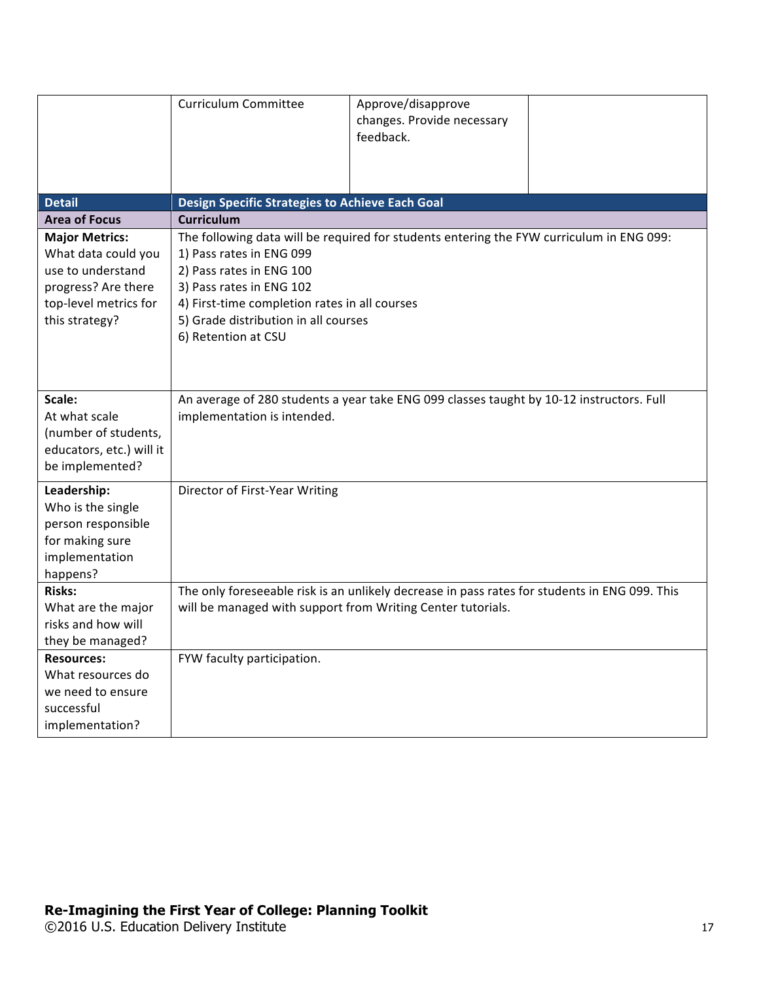|                                                                                                                                     | <b>Curriculum Committee</b>                                                                                                                                                                                                                                                                  | Approve/disapprove<br>changes. Provide necessary<br>feedback. |  |
|-------------------------------------------------------------------------------------------------------------------------------------|----------------------------------------------------------------------------------------------------------------------------------------------------------------------------------------------------------------------------------------------------------------------------------------------|---------------------------------------------------------------|--|
| <b>Detail</b>                                                                                                                       | Design Specific Strategies to Achieve Each Goal                                                                                                                                                                                                                                              |                                                               |  |
| <b>Area of Focus</b>                                                                                                                | <b>Curriculum</b>                                                                                                                                                                                                                                                                            |                                                               |  |
| <b>Major Metrics:</b><br>What data could you<br>use to understand<br>progress? Are there<br>top-level metrics for<br>this strategy? | The following data will be required for students entering the FYW curriculum in ENG 099:<br>1) Pass rates in ENG 099<br>2) Pass rates in ENG 100<br>3) Pass rates in ENG 102<br>4) First-time completion rates in all courses<br>5) Grade distribution in all courses<br>6) Retention at CSU |                                                               |  |
| Scale:<br>At what scale<br>(number of students,<br>educators, etc.) will it<br>be implemented?                                      | An average of 280 students a year take ENG 099 classes taught by 10-12 instructors. Full<br>implementation is intended.                                                                                                                                                                      |                                                               |  |
| Leadership:<br>Who is the single<br>person responsible<br>for making sure<br>implementation<br>happens?                             | Director of First-Year Writing                                                                                                                                                                                                                                                               |                                                               |  |
| <b>Risks:</b><br>What are the major<br>risks and how will<br>they be managed?                                                       | The only foreseeable risk is an unlikely decrease in pass rates for students in ENG 099. This<br>will be managed with support from Writing Center tutorials.                                                                                                                                 |                                                               |  |
| <b>Resources:</b><br>What resources do<br>we need to ensure<br>successful<br>implementation?                                        | FYW faculty participation.                                                                                                                                                                                                                                                                   |                                                               |  |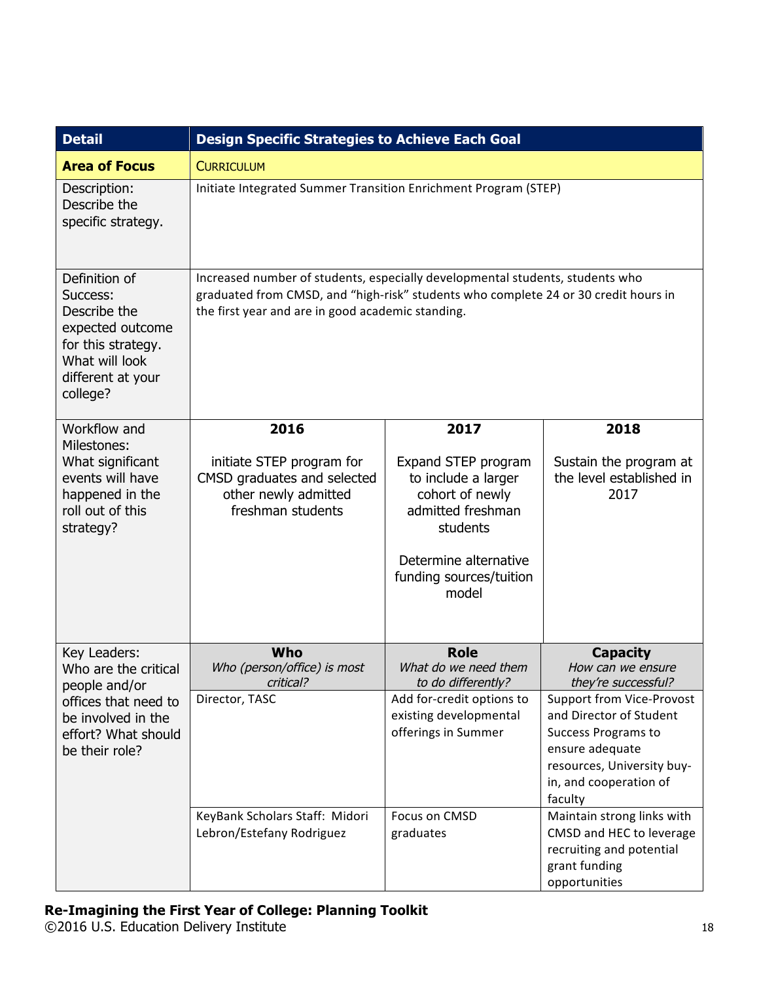| <b>Detail</b>                                                                                                                          | <b>Design Specific Strategies to Achieve Each Goal</b>                                                                                                                                                                    |                                                                                                                                                             |                                                                                                                                                                          |
|----------------------------------------------------------------------------------------------------------------------------------------|---------------------------------------------------------------------------------------------------------------------------------------------------------------------------------------------------------------------------|-------------------------------------------------------------------------------------------------------------------------------------------------------------|--------------------------------------------------------------------------------------------------------------------------------------------------------------------------|
| <b>Area of Focus</b>                                                                                                                   | <b>CURRICULUM</b>                                                                                                                                                                                                         |                                                                                                                                                             |                                                                                                                                                                          |
| Description:<br>Describe the<br>specific strategy.                                                                                     | Initiate Integrated Summer Transition Enrichment Program (STEP)                                                                                                                                                           |                                                                                                                                                             |                                                                                                                                                                          |
| Definition of<br>Success:<br>Describe the<br>expected outcome<br>for this strategy.<br>What will look<br>different at your<br>college? | Increased number of students, especially developmental students, students who<br>graduated from CMSD, and "high-risk" students who complete 24 or 30 credit hours in<br>the first year and are in good academic standing. |                                                                                                                                                             |                                                                                                                                                                          |
| Workflow and                                                                                                                           | 2016                                                                                                                                                                                                                      | 2017                                                                                                                                                        | 2018                                                                                                                                                                     |
| Milestones:<br>What significant<br>events will have<br>happened in the<br>roll out of this<br>strategy?                                | initiate STEP program for<br>CMSD graduates and selected<br>other newly admitted<br>freshman students                                                                                                                     | Expand STEP program<br>to include a larger<br>cohort of newly<br>admitted freshman<br>students<br>Determine alternative<br>funding sources/tuition<br>model | Sustain the program at<br>the level established in<br>2017                                                                                                               |
| Key Leaders:                                                                                                                           | Who<br>Who (person/office) is most                                                                                                                                                                                        | <b>Role</b><br>What do we need them                                                                                                                         | <b>Capacity</b>                                                                                                                                                          |
| Who are the critical<br>people and/or                                                                                                  | critical?                                                                                                                                                                                                                 | to do differently?                                                                                                                                          | How can we ensure<br>they're successful?                                                                                                                                 |
| offices that need to<br>be involved in the<br>effort? What should<br>be their role?                                                    | Director, TASC                                                                                                                                                                                                            | Add for-credit options to<br>existing developmental<br>offerings in Summer                                                                                  | Support from Vice-Provost<br>and Director of Student<br><b>Success Programs to</b><br>ensure adequate<br>resources, University buy-<br>in, and cooperation of<br>faculty |
|                                                                                                                                        | KeyBank Scholars Staff: Midori<br>Lebron/Estefany Rodriguez                                                                                                                                                               | Focus on CMSD<br>graduates                                                                                                                                  | Maintain strong links with<br>CMSD and HEC to leverage<br>recruiting and potential<br>grant funding<br>opportunities                                                     |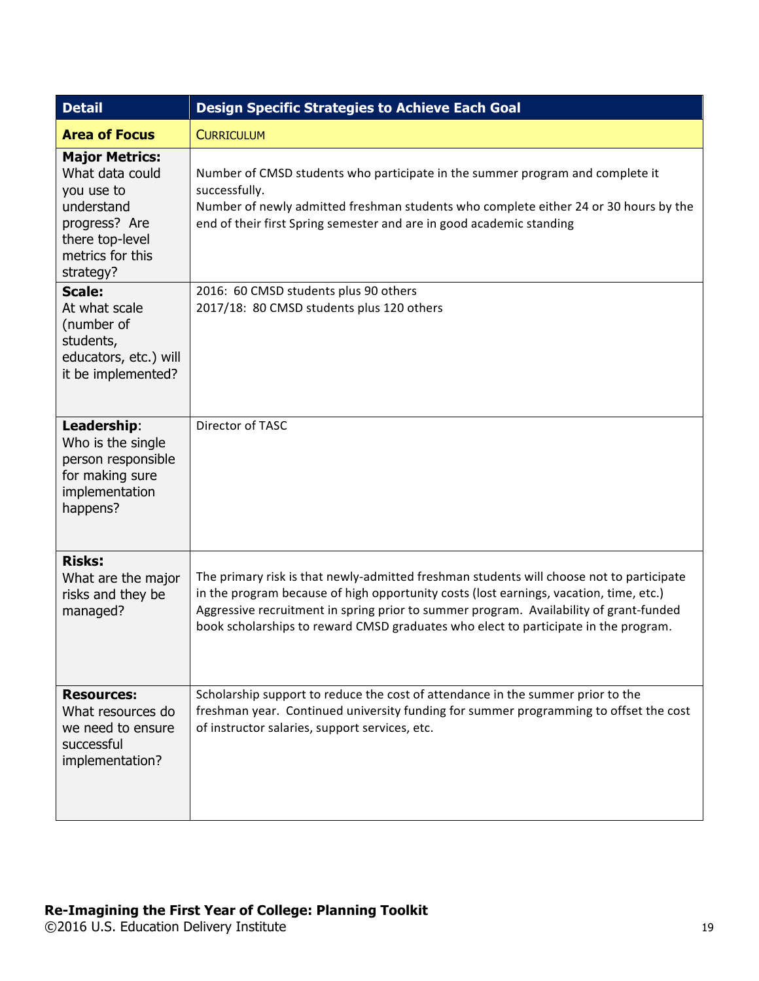| <b>Detail</b>                                                                                                                             | <b>Design Specific Strategies to Achieve Each Goal</b>                                                                                                                                                                                                                                                                                                              |
|-------------------------------------------------------------------------------------------------------------------------------------------|---------------------------------------------------------------------------------------------------------------------------------------------------------------------------------------------------------------------------------------------------------------------------------------------------------------------------------------------------------------------|
| <b>Area of Focus</b>                                                                                                                      | <b>CURRICULUM</b>                                                                                                                                                                                                                                                                                                                                                   |
| <b>Major Metrics:</b><br>What data could<br>you use to<br>understand<br>progress? Are<br>there top-level<br>metrics for this<br>strategy? | Number of CMSD students who participate in the summer program and complete it<br>successfully.<br>Number of newly admitted freshman students who complete either 24 or 30 hours by the<br>end of their first Spring semester and are in good academic standing                                                                                                      |
| <b>Scale:</b><br>At what scale<br>(number of<br>students,<br>educators, etc.) will<br>it be implemented?                                  | 2016: 60 CMSD students plus 90 others<br>2017/18: 80 CMSD students plus 120 others                                                                                                                                                                                                                                                                                  |
| Leadership:<br>Who is the single<br>person responsible<br>for making sure<br>implementation<br>happens?                                   | Director of TASC                                                                                                                                                                                                                                                                                                                                                    |
| <b>Risks:</b><br>What are the major<br>risks and they be<br>managed?                                                                      | The primary risk is that newly-admitted freshman students will choose not to participate<br>in the program because of high opportunity costs (lost earnings, vacation, time, etc.)<br>Aggressive recruitment in spring prior to summer program. Availability of grant-funded<br>book scholarships to reward CMSD graduates who elect to participate in the program. |
| <b>Resources:</b><br>What resources do<br>we need to ensure<br>successful<br>implementation?                                              | Scholarship support to reduce the cost of attendance in the summer prior to the<br>freshman year. Continued university funding for summer programming to offset the cost<br>of instructor salaries, support services, etc.                                                                                                                                          |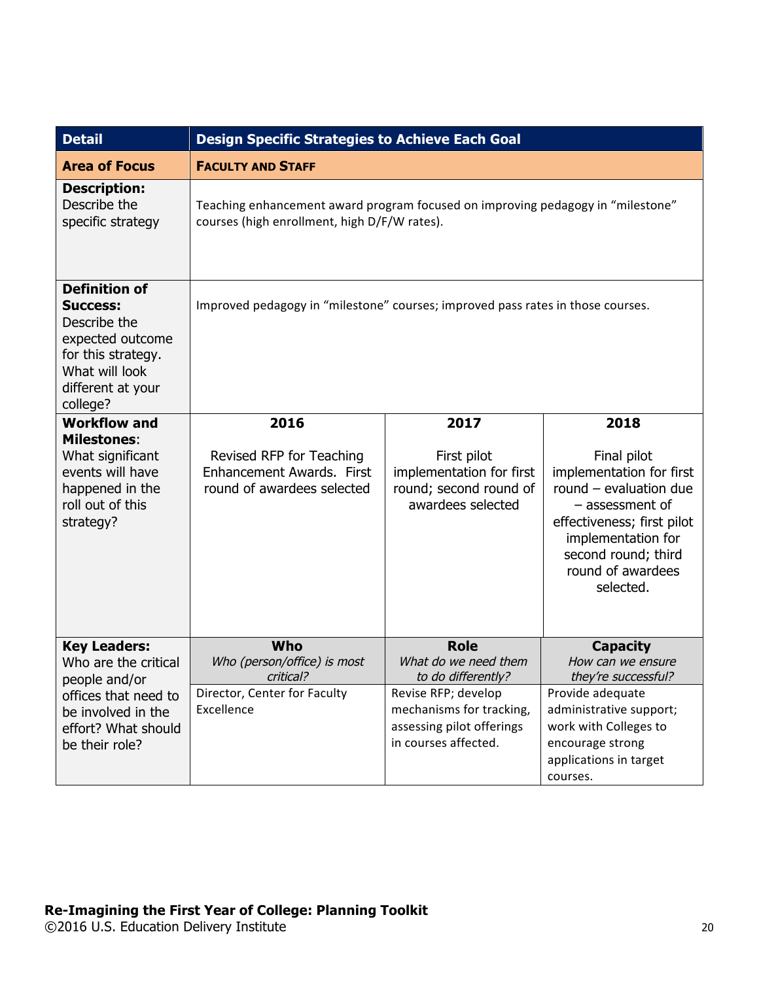| <b>Detail</b>                                                                                                                                        | <b>Design Specific Strategies to Achieve Each Goal</b>                                                                          |                                                                                        |                                                                                                                                                                                                     |
|------------------------------------------------------------------------------------------------------------------------------------------------------|---------------------------------------------------------------------------------------------------------------------------------|----------------------------------------------------------------------------------------|-----------------------------------------------------------------------------------------------------------------------------------------------------------------------------------------------------|
| <b>Area of Focus</b>                                                                                                                                 | <b>FACULTY AND STAFF</b>                                                                                                        |                                                                                        |                                                                                                                                                                                                     |
| <b>Description:</b><br>Describe the<br>specific strategy                                                                                             | Teaching enhancement award program focused on improving pedagogy in "milestone"<br>courses (high enrollment, high D/F/W rates). |                                                                                        |                                                                                                                                                                                                     |
| <b>Definition of</b><br><b>Success:</b><br>Describe the<br>expected outcome<br>for this strategy.<br>What will look<br>different at your<br>college? | Improved pedagogy in "milestone" courses; improved pass rates in those courses.                                                 |                                                                                        |                                                                                                                                                                                                     |
| <b>Workflow and</b>                                                                                                                                  | 2016                                                                                                                            | 2017                                                                                   | 2018                                                                                                                                                                                                |
| <b>Milestones:</b><br>What significant<br>events will have<br>happened in the<br>roll out of this<br>strategy?                                       | Revised RFP for Teaching<br>Enhancement Awards. First<br>round of awardees selected                                             | First pilot<br>implementation for first<br>round; second round of<br>awardees selected | Final pilot<br>implementation for first<br>round $-$ evaluation due<br>- assessment of<br>effectiveness; first pilot<br>implementation for<br>second round; third<br>round of awardees<br>selected. |
| <b>Key Leaders:</b>                                                                                                                                  | Who                                                                                                                             | <b>Role</b>                                                                            | <b>Capacity</b>                                                                                                                                                                                     |
| Who are the critical<br>people and/or                                                                                                                | Who (person/office) is most<br>critical?                                                                                        | What do we need them<br>to do differently?                                             | How can we ensure<br>they're successful?                                                                                                                                                            |
| offices that need to                                                                                                                                 | Director, Center for Faculty                                                                                                    | Revise RFP; develop                                                                    | Provide adequate                                                                                                                                                                                    |
| be involved in the                                                                                                                                   | Excellence                                                                                                                      | mechanisms for tracking,                                                               | administrative support;                                                                                                                                                                             |
| effort? What should                                                                                                                                  |                                                                                                                                 | assessing pilot offerings                                                              | work with Colleges to                                                                                                                                                                               |
| be their role?                                                                                                                                       |                                                                                                                                 | in courses affected.                                                                   | encourage strong<br>applications in target                                                                                                                                                          |
|                                                                                                                                                      |                                                                                                                                 |                                                                                        | courses.                                                                                                                                                                                            |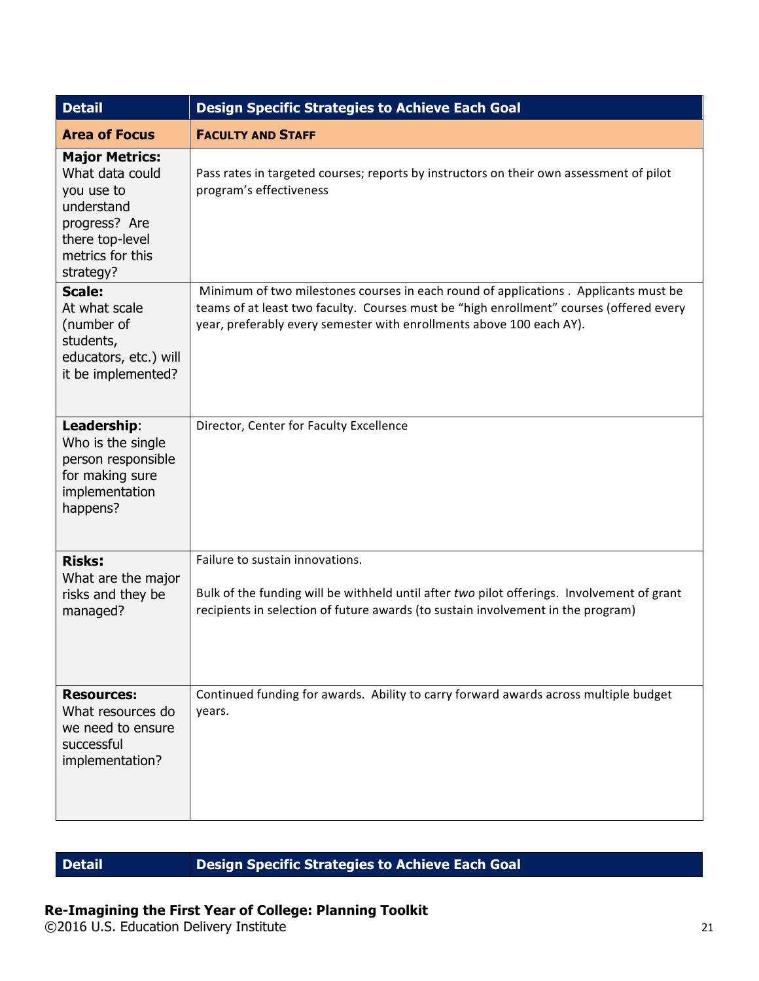| <b>Detail</b>                                                                                                                             | <b>Design Specific Strategies to Achieve Each Goal</b>                                                                                                                                                                                                  |  |
|-------------------------------------------------------------------------------------------------------------------------------------------|---------------------------------------------------------------------------------------------------------------------------------------------------------------------------------------------------------------------------------------------------------|--|
| <b>Area of Focus</b>                                                                                                                      | <b>FACULTY AND STAFF</b>                                                                                                                                                                                                                                |  |
| <b>Major Metrics:</b><br>What data could<br>you use to<br>understand<br>progress? Are<br>there top-level<br>metrics for this<br>strategy? | Pass rates in targeted courses; reports by instructors on their own assessment of pilot<br>program's effectiveness                                                                                                                                      |  |
| <b>Scale:</b><br>At what scale<br>(number of<br>students,<br>educators, etc.) will<br>it be implemented?                                  | Minimum of two milestones courses in each round of applications . Applicants must be<br>teams of at least two faculty. Courses must be "high enrollment" courses (offered every<br>year, preferably every semester with enrollments above 100 each AY). |  |
| Leadership:<br>Who is the single<br>person responsible<br>for making sure<br>implementation<br>happens?                                   | Director, Center for Faculty Excellence                                                                                                                                                                                                                 |  |
| <b>Risks:</b><br>What are the major<br>risks and they be<br>managed?                                                                      | Failure to sustain innovations.<br>Bulk of the funding will be withheld until after two pilot offerings. Involvement of grant<br>recipients in selection of future awards (to sustain involvement in the program)                                       |  |
| <b>Resources:</b><br>What resources do<br>we need to ensure<br>successful<br>implementation?                                              | Continued funding for awards. Ability to carry forward awards across multiple budget<br>years.                                                                                                                                                          |  |

## **Detail Design Specific Strategies to Achieve Each Goal**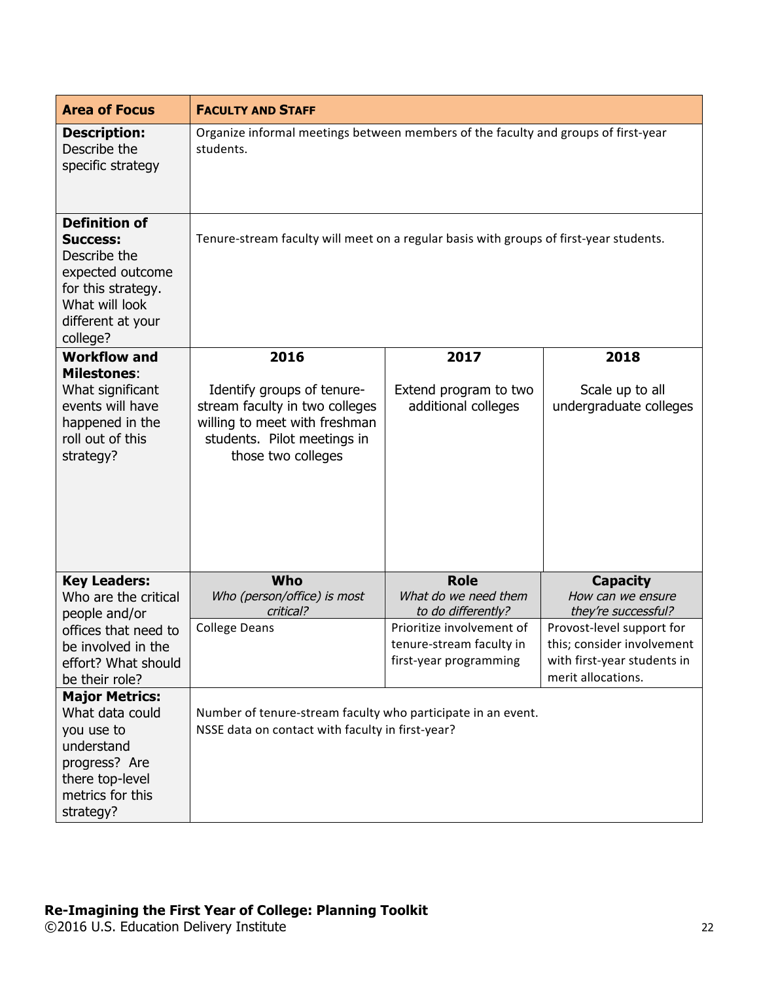| <b>Area of Focus</b>                                                                                                                                 | <b>FACULTY AND STAFF</b>                                                                                                                           |                                                                                 |                                                                                                              |
|------------------------------------------------------------------------------------------------------------------------------------------------------|----------------------------------------------------------------------------------------------------------------------------------------------------|---------------------------------------------------------------------------------|--------------------------------------------------------------------------------------------------------------|
| <b>Description:</b><br>Describe the<br>specific strategy                                                                                             | Organize informal meetings between members of the faculty and groups of first-year<br>students.                                                    |                                                                                 |                                                                                                              |
| <b>Definition of</b><br><b>Success:</b><br>Describe the<br>expected outcome<br>for this strategy.<br>What will look<br>different at your<br>college? | Tenure-stream faculty will meet on a regular basis with groups of first-year students.                                                             |                                                                                 |                                                                                                              |
| <b>Workflow and</b>                                                                                                                                  | 2016                                                                                                                                               | 2017                                                                            | 2018                                                                                                         |
| <b>Milestones:</b><br>What significant<br>events will have<br>happened in the<br>roll out of this<br>strategy?                                       | Identify groups of tenure-<br>stream faculty in two colleges<br>willing to meet with freshman<br>students. Pilot meetings in<br>those two colleges | Extend program to two<br>additional colleges                                    | Scale up to all<br>undergraduate colleges                                                                    |
| <b>Key Leaders:</b>                                                                                                                                  | Who                                                                                                                                                | <b>Role</b>                                                                     | <b>Capacity</b>                                                                                              |
| Who are the critical<br>people and/or                                                                                                                | Who (person/office) is most<br>critical?                                                                                                           | What do we need them<br>to do differently?                                      | How can we ensure<br>they're successful?                                                                     |
| offices that need to<br>be involved in the<br>effort? What should<br>be their role?                                                                  | <b>College Deans</b>                                                                                                                               | Prioritize involvement of<br>tenure-stream faculty in<br>first-year programming | Provost-level support for<br>this; consider involvement<br>with first-year students in<br>merit allocations. |
| <b>Major Metrics:</b><br>What data could<br>you use to<br>understand<br>progress? Are<br>there top-level<br>metrics for this<br>strategy?            | Number of tenure-stream faculty who participate in an event.<br>NSSE data on contact with faculty in first-year?                                   |                                                                                 |                                                                                                              |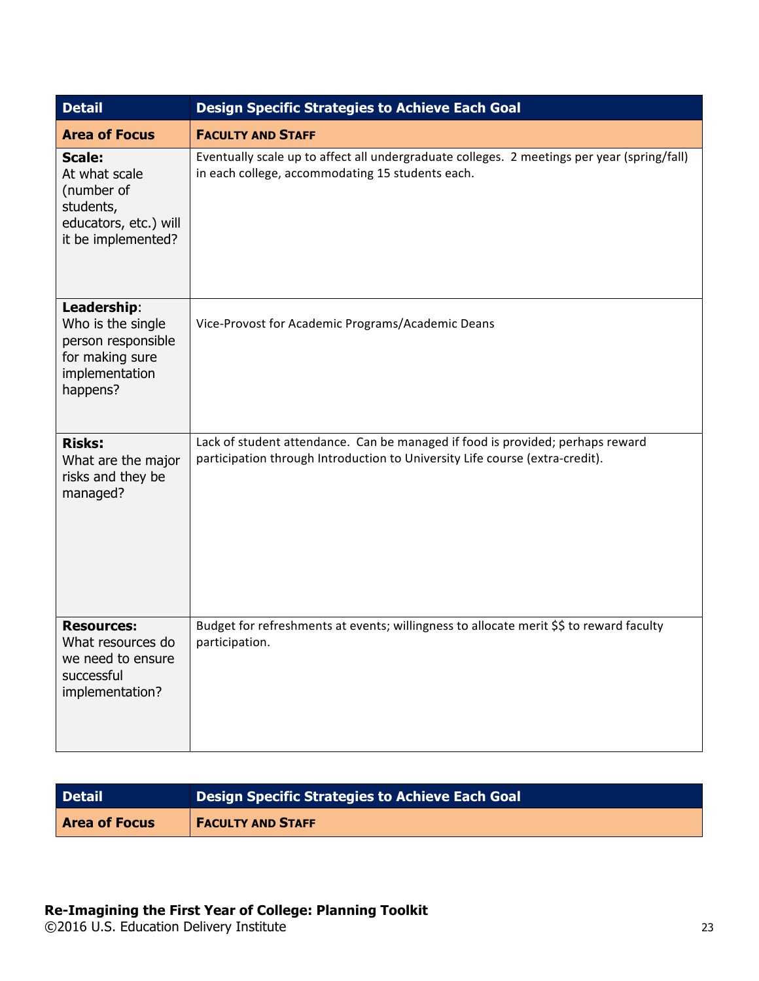| <b>Detail</b>                                                                                            | <b>Design Specific Strategies to Achieve Each Goal</b>                                                                                                         |
|----------------------------------------------------------------------------------------------------------|----------------------------------------------------------------------------------------------------------------------------------------------------------------|
| <b>Area of Focus</b>                                                                                     | <b>FACULTY AND STAFF</b>                                                                                                                                       |
| <b>Scale:</b><br>At what scale<br>(number of<br>students,<br>educators, etc.) will<br>it be implemented? | Eventually scale up to affect all undergraduate colleges. 2 meetings per year (spring/fall)<br>in each college, accommodating 15 students each.                |
| Leadership:<br>Who is the single<br>person responsible<br>for making sure<br>implementation<br>happens?  | Vice-Provost for Academic Programs/Academic Deans                                                                                                              |
| <b>Risks:</b><br>What are the major<br>risks and they be<br>managed?                                     | Lack of student attendance. Can be managed if food is provided; perhaps reward<br>participation through Introduction to University Life course (extra-credit). |
| <b>Resources:</b><br>What resources do<br>we need to ensure<br>successful<br>implementation?             | Budget for refreshments at events; willingness to allocate merit \$\$ to reward faculty<br>participation.                                                      |

| <b>Detail</b>        | Design Specific Strategies to Achieve Each Goal |
|----------------------|-------------------------------------------------|
| <b>Area of Focus</b> | <b>FACULTY AND STAFF</b>                        |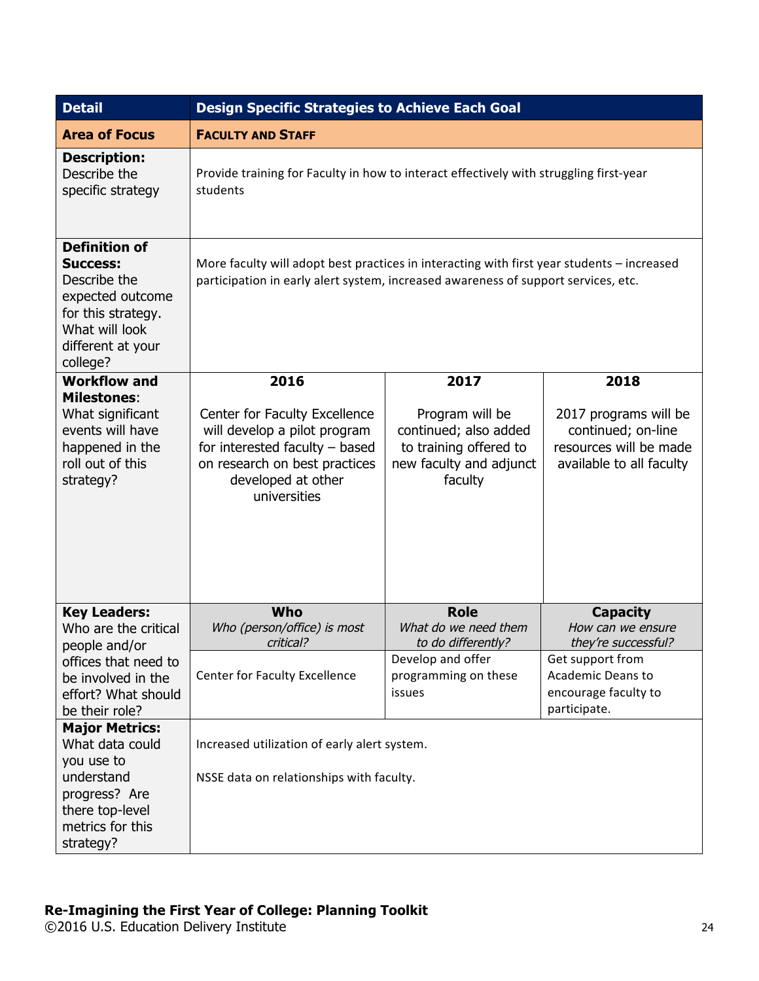| <b>Detail</b>                                                                                                                                        | <b>Design Specific Strategies to Achieve Each Goal</b>                                                                                                                           |                                                                                                          |                                                                                                   |
|------------------------------------------------------------------------------------------------------------------------------------------------------|----------------------------------------------------------------------------------------------------------------------------------------------------------------------------------|----------------------------------------------------------------------------------------------------------|---------------------------------------------------------------------------------------------------|
| <b>Area of Focus</b>                                                                                                                                 | <b>FACULTY AND STAFF</b>                                                                                                                                                         |                                                                                                          |                                                                                                   |
| <b>Description:</b><br>Describe the<br>specific strategy                                                                                             | Provide training for Faculty in how to interact effectively with struggling first-year<br>students                                                                               |                                                                                                          |                                                                                                   |
| <b>Definition of</b><br><b>Success:</b><br>Describe the<br>expected outcome<br>for this strategy.<br>What will look<br>different at your<br>college? | More faculty will adopt best practices in interacting with first year students - increased<br>participation in early alert system, increased awareness of support services, etc. |                                                                                                          |                                                                                                   |
| <b>Workflow and</b>                                                                                                                                  | 2016                                                                                                                                                                             | 2017                                                                                                     | 2018                                                                                              |
| <b>Milestones:</b><br>What significant<br>events will have<br>happened in the<br>roll out of this<br>strategy?                                       | Center for Faculty Excellence<br>will develop a pilot program<br>for interested faculty $-$ based<br>on research on best practices<br>developed at other<br>universities         | Program will be<br>continued; also added<br>to training offered to<br>new faculty and adjunct<br>faculty | 2017 programs will be<br>continued; on-line<br>resources will be made<br>available to all faculty |
| <b>Key Leaders:</b><br>Who are the critical                                                                                                          | <b>Who</b><br>Who (person/office) is most<br>critical?                                                                                                                           | <b>Role</b><br>What do we need them<br>to do differently?                                                | <b>Capacity</b><br>How can we ensure<br>they're successful?                                       |
| people and/or<br>offices that need to<br>be involved in the<br>effort? What should<br>be their role?                                                 | Center for Faculty Excellence                                                                                                                                                    | Develop and offer<br>programming on these<br>issues                                                      | Get support from<br>Academic Deans to<br>encourage faculty to<br>participate.                     |
| <b>Major Metrics:</b><br>What data could<br>you use to<br>understand<br>progress? Are<br>there top-level<br>metrics for this<br>strategy?            | Increased utilization of early alert system.<br>NSSE data on relationships with faculty.                                                                                         |                                                                                                          |                                                                                                   |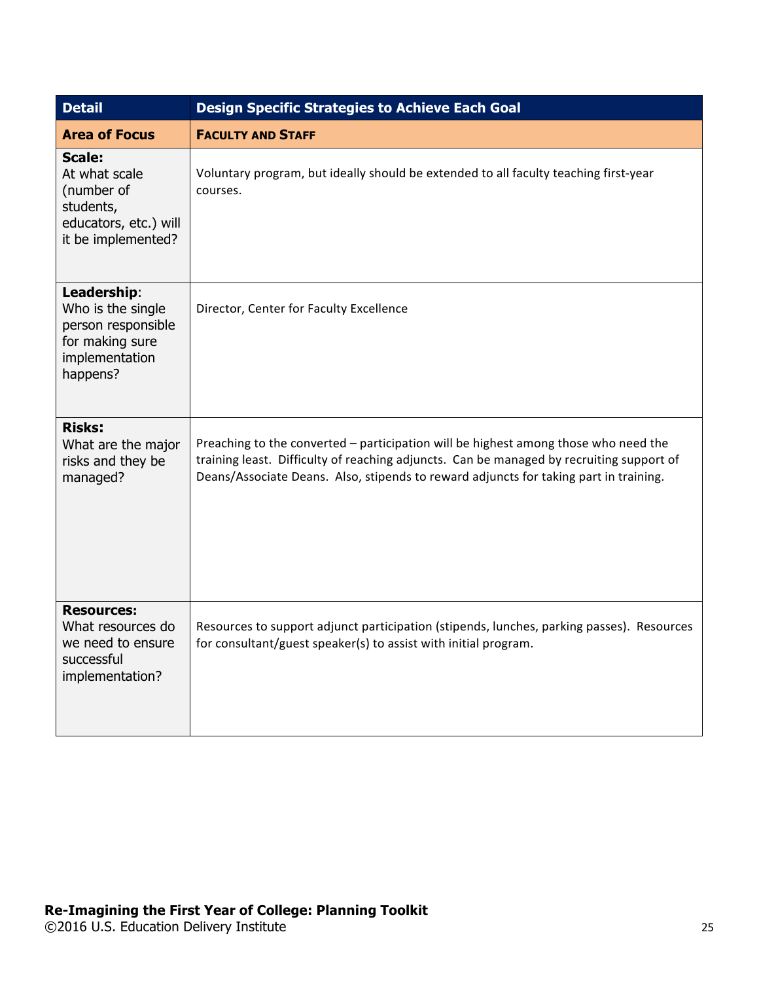| <b>Detail</b>                                                                                            | <b>Design Specific Strategies to Achieve Each Goal</b>                                                                                                                                                                                                                   |  |  |
|----------------------------------------------------------------------------------------------------------|--------------------------------------------------------------------------------------------------------------------------------------------------------------------------------------------------------------------------------------------------------------------------|--|--|
| <b>Area of Focus</b>                                                                                     | <b>FACULTY AND STAFF</b>                                                                                                                                                                                                                                                 |  |  |
| <b>Scale:</b><br>At what scale<br>(number of<br>students,<br>educators, etc.) will<br>it be implemented? | Voluntary program, but ideally should be extended to all faculty teaching first-year<br>courses.                                                                                                                                                                         |  |  |
| Leadership:<br>Who is the single<br>person responsible<br>for making sure<br>implementation<br>happens?  | Director, Center for Faculty Excellence                                                                                                                                                                                                                                  |  |  |
| <b>Risks:</b><br>What are the major<br>risks and they be<br>managed?                                     | Preaching to the converted - participation will be highest among those who need the<br>training least. Difficulty of reaching adjuncts. Can be managed by recruiting support of<br>Deans/Associate Deans. Also, stipends to reward adjuncts for taking part in training. |  |  |
| <b>Resources:</b><br>What resources do<br>we need to ensure<br>successful<br>implementation?             | Resources to support adjunct participation (stipends, lunches, parking passes). Resources<br>for consultant/guest speaker(s) to assist with initial program.                                                                                                             |  |  |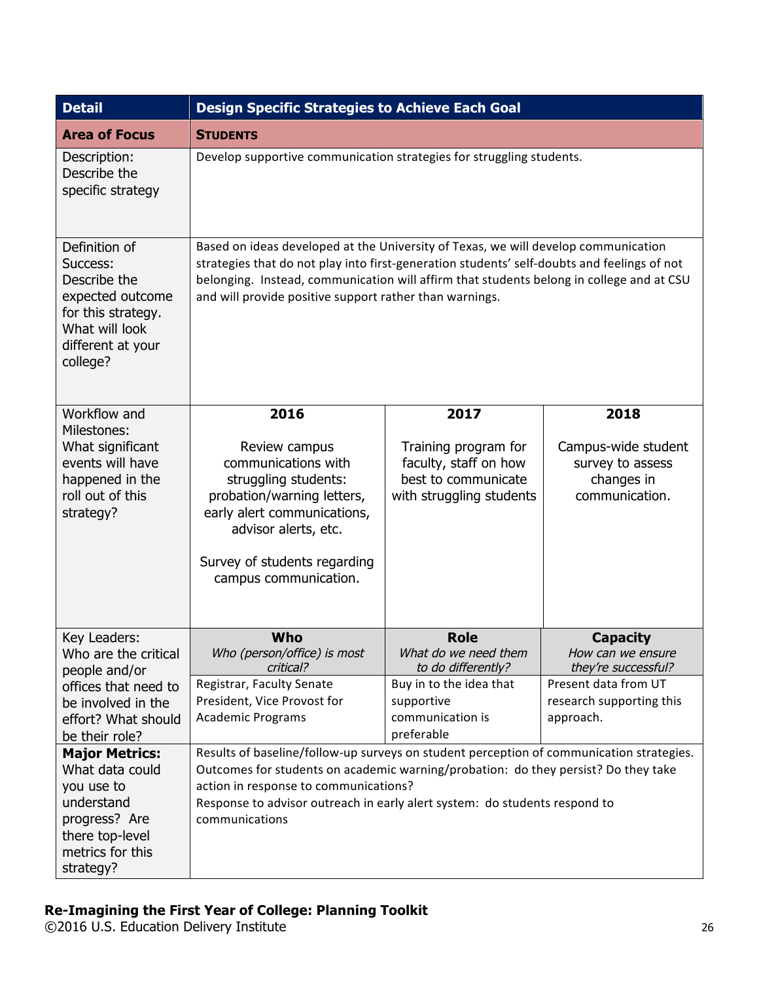| <b>Detail</b>                                                                                                                          | <b>Design Specific Strategies to Achieve Each Goal</b>                                                                                                                                                                                                                                                                                   |                                                                                                  |                                                                         |  |
|----------------------------------------------------------------------------------------------------------------------------------------|------------------------------------------------------------------------------------------------------------------------------------------------------------------------------------------------------------------------------------------------------------------------------------------------------------------------------------------|--------------------------------------------------------------------------------------------------|-------------------------------------------------------------------------|--|
| <b>Area of Focus</b>                                                                                                                   | <b>STUDENTS</b>                                                                                                                                                                                                                                                                                                                          |                                                                                                  |                                                                         |  |
| Description:<br>Describe the<br>specific strategy                                                                                      | Develop supportive communication strategies for struggling students.                                                                                                                                                                                                                                                                     |                                                                                                  |                                                                         |  |
| Definition of<br>Success:<br>Describe the<br>expected outcome<br>for this strategy.<br>What will look<br>different at your<br>college? | Based on ideas developed at the University of Texas, we will develop communication<br>strategies that do not play into first-generation students' self-doubts and feelings of not<br>belonging. Instead, communication will affirm that students belong in college and at CSU<br>and will provide positive support rather than warnings. |                                                                                                  |                                                                         |  |
| Workflow and                                                                                                                           | 2016                                                                                                                                                                                                                                                                                                                                     | 2017                                                                                             | 2018                                                                    |  |
| Milestones:<br>What significant<br>events will have<br>happened in the<br>roll out of this<br>strategy?                                | Review campus<br>communications with<br>struggling students:<br>probation/warning letters,<br>early alert communications,<br>advisor alerts, etc.<br>Survey of students regarding<br>campus communication.                                                                                                                               | Training program for<br>faculty, staff on how<br>best to communicate<br>with struggling students | Campus-wide student<br>survey to assess<br>changes in<br>communication. |  |
| Key Leaders:<br>Who are the critical<br>people and/or                                                                                  | Who<br>Who (person/office) is most<br>critical?                                                                                                                                                                                                                                                                                          | <b>Role</b><br>What do we need them<br>to do differently?                                        | <b>Capacity</b><br>How can we ensure<br>they're successful?             |  |
| offices that need to                                                                                                                   | Registrar, Faculty Senate                                                                                                                                                                                                                                                                                                                | Buy in to the idea that                                                                          | Present data from UT                                                    |  |
| be involved in the                                                                                                                     | President, Vice Provost for                                                                                                                                                                                                                                                                                                              | supportive                                                                                       | research supporting this                                                |  |
| effort? What should<br>be their role?                                                                                                  | <b>Academic Programs</b>                                                                                                                                                                                                                                                                                                                 | communication is<br>preferable                                                                   | approach.                                                               |  |
| <b>Major Metrics:</b>                                                                                                                  | Results of baseline/follow-up surveys on student perception of communication strategies.                                                                                                                                                                                                                                                 |                                                                                                  |                                                                         |  |
| What data could                                                                                                                        | Outcomes for students on academic warning/probation: do they persist? Do they take                                                                                                                                                                                                                                                       |                                                                                                  |                                                                         |  |
| you use to                                                                                                                             | action in response to communications?                                                                                                                                                                                                                                                                                                    |                                                                                                  |                                                                         |  |
| understand<br>progress? Are                                                                                                            | communications                                                                                                                                                                                                                                                                                                                           | Response to advisor outreach in early alert system: do students respond to                       |                                                                         |  |
| there top-level                                                                                                                        |                                                                                                                                                                                                                                                                                                                                          |                                                                                                  |                                                                         |  |
| metrics for this                                                                                                                       |                                                                                                                                                                                                                                                                                                                                          |                                                                                                  |                                                                         |  |
| strategy?                                                                                                                              |                                                                                                                                                                                                                                                                                                                                          |                                                                                                  |                                                                         |  |

©2016 U.S. Education Delivery Institute 26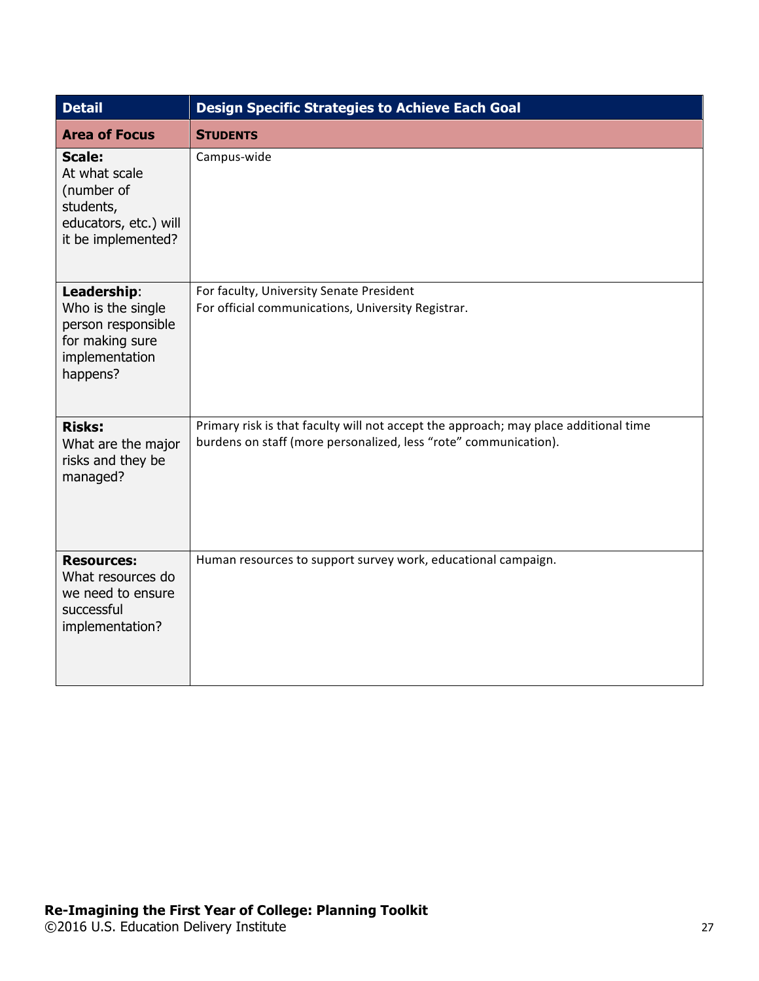| <b>Detail</b>                                                                                            | <b>Design Specific Strategies to Achieve Each Goal</b>                                                                                                   |  |  |
|----------------------------------------------------------------------------------------------------------|----------------------------------------------------------------------------------------------------------------------------------------------------------|--|--|
| <b>Area of Focus</b>                                                                                     | <b>STUDENTS</b>                                                                                                                                          |  |  |
| <b>Scale:</b><br>At what scale<br>(number of<br>students,<br>educators, etc.) will<br>it be implemented? | Campus-wide                                                                                                                                              |  |  |
| Leadership:<br>Who is the single<br>person responsible<br>for making sure<br>implementation<br>happens?  | For faculty, University Senate President<br>For official communications, University Registrar.                                                           |  |  |
| <b>Risks:</b><br>What are the major<br>risks and they be<br>managed?                                     | Primary risk is that faculty will not accept the approach; may place additional time<br>burdens on staff (more personalized, less "rote" communication). |  |  |
| <b>Resources:</b><br>What resources do<br>we need to ensure<br>successful<br>implementation?             | Human resources to support survey work, educational campaign.                                                                                            |  |  |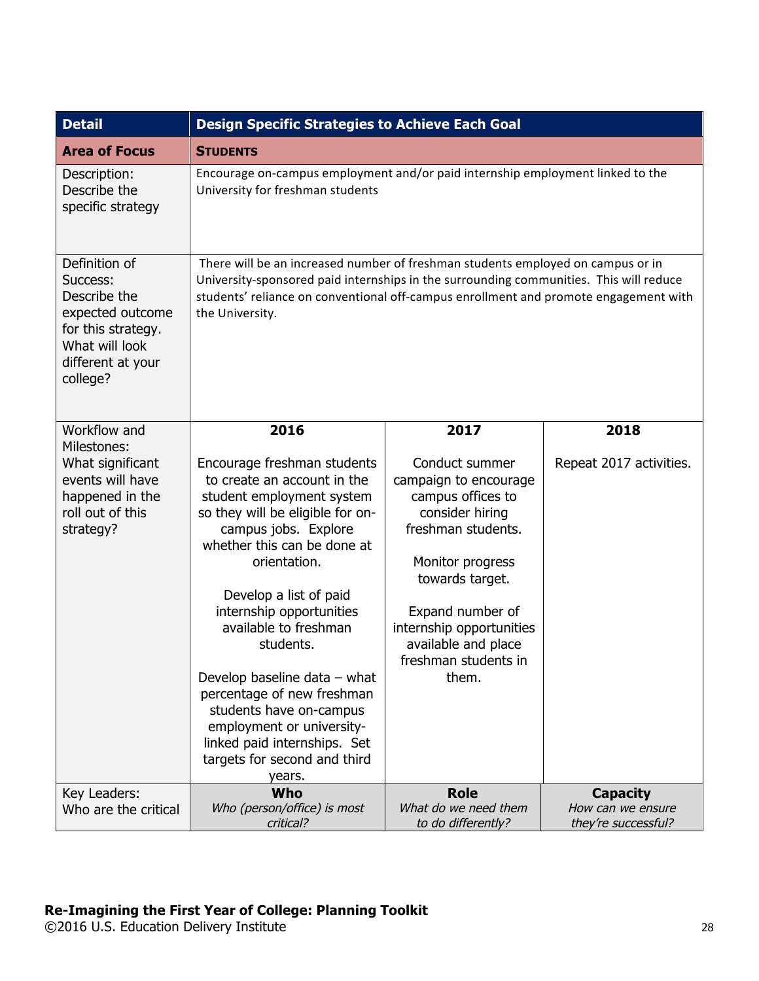| <b>Detail</b>                                                                                                                          | <b>Design Specific Strategies to Achieve Each Goal</b>                                                                                                                                                                                                                                                                                                                                                                                                                                         |                                                                                                                                                                                                                                                      |                                          |
|----------------------------------------------------------------------------------------------------------------------------------------|------------------------------------------------------------------------------------------------------------------------------------------------------------------------------------------------------------------------------------------------------------------------------------------------------------------------------------------------------------------------------------------------------------------------------------------------------------------------------------------------|------------------------------------------------------------------------------------------------------------------------------------------------------------------------------------------------------------------------------------------------------|------------------------------------------|
| <b>Area of Focus</b>                                                                                                                   | <b>STUDENTS</b>                                                                                                                                                                                                                                                                                                                                                                                                                                                                                |                                                                                                                                                                                                                                                      |                                          |
| Description:<br>Describe the<br>specific strategy                                                                                      | Encourage on-campus employment and/or paid internship employment linked to the<br>University for freshman students                                                                                                                                                                                                                                                                                                                                                                             |                                                                                                                                                                                                                                                      |                                          |
| Definition of<br>Success:<br>Describe the<br>expected outcome<br>for this strategy.<br>What will look<br>different at your<br>college? | There will be an increased number of freshman students employed on campus or in<br>University-sponsored paid internships in the surrounding communities. This will reduce<br>students' reliance on conventional off-campus enrollment and promote engagement with<br>the University.                                                                                                                                                                                                           |                                                                                                                                                                                                                                                      |                                          |
| Workflow and<br>Milestones:                                                                                                            | 2016                                                                                                                                                                                                                                                                                                                                                                                                                                                                                           | 2017                                                                                                                                                                                                                                                 | 2018                                     |
| What significant<br>events will have<br>happened in the<br>roll out of this<br>strategy?                                               | Encourage freshman students<br>to create an account in the<br>student employment system<br>so they will be eligible for on-<br>campus jobs. Explore<br>whether this can be done at<br>orientation.<br>Develop a list of paid<br>internship opportunities<br>available to freshman<br>students.<br>Develop baseline data - what<br>percentage of new freshman<br>students have on-campus<br>employment or university-<br>linked paid internships. Set<br>targets for second and third<br>years. | Conduct summer<br>campaign to encourage<br>campus offices to<br>consider hiring<br>freshman students.<br>Monitor progress<br>towards target.<br>Expand number of<br>internship opportunities<br>available and place<br>freshman students in<br>them. | Repeat 2017 activities.                  |
| Key Leaders:                                                                                                                           | Who                                                                                                                                                                                                                                                                                                                                                                                                                                                                                            | <b>Role</b>                                                                                                                                                                                                                                          | <b>Capacity</b>                          |
| Who are the critical                                                                                                                   | Who (person/office) is most<br>critical?                                                                                                                                                                                                                                                                                                                                                                                                                                                       | What do we need them<br>to do differently?                                                                                                                                                                                                           | How can we ensure<br>they're successful? |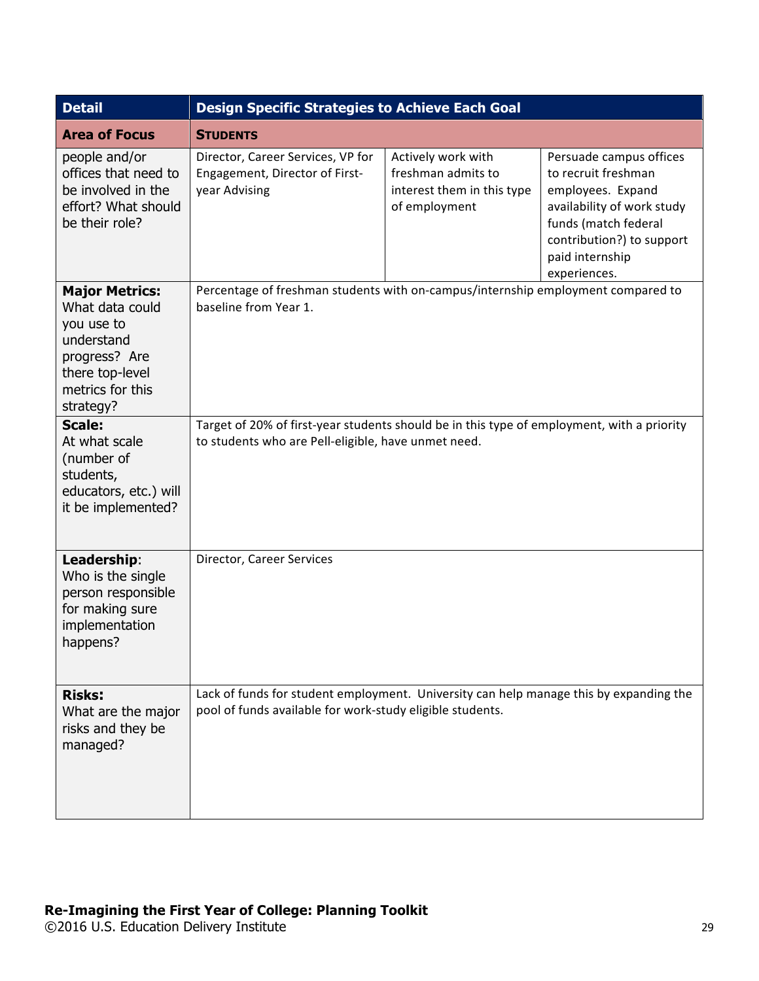| <b>Detail</b>                                                                                                                             | <b>Design Specific Strategies to Achieve Each Goal</b>                                                                                              |                                                                                         |                                                                                                                                                                                           |
|-------------------------------------------------------------------------------------------------------------------------------------------|-----------------------------------------------------------------------------------------------------------------------------------------------------|-----------------------------------------------------------------------------------------|-------------------------------------------------------------------------------------------------------------------------------------------------------------------------------------------|
| <b>Area of Focus</b>                                                                                                                      | <b>STUDENTS</b>                                                                                                                                     |                                                                                         |                                                                                                                                                                                           |
| people and/or<br>offices that need to<br>be involved in the<br>effort? What should<br>be their role?                                      | Director, Career Services, VP for<br>Engagement, Director of First-<br>year Advising                                                                | Actively work with<br>freshman admits to<br>interest them in this type<br>of employment | Persuade campus offices<br>to recruit freshman<br>employees. Expand<br>availability of work study<br>funds (match federal<br>contribution?) to support<br>paid internship<br>experiences. |
| <b>Major Metrics:</b><br>What data could<br>you use to<br>understand<br>progress? Are<br>there top-level<br>metrics for this<br>strategy? | Percentage of freshman students with on-campus/internship employment compared to<br>baseline from Year 1.                                           |                                                                                         |                                                                                                                                                                                           |
| <b>Scale:</b><br>At what scale<br>(number of<br>students,<br>educators, etc.) will<br>it be implemented?                                  | Target of 20% of first-year students should be in this type of employment, with a priority<br>to students who are Pell-eligible, have unmet need.   |                                                                                         |                                                                                                                                                                                           |
| Leadership:<br>Who is the single<br>person responsible<br>for making sure<br>implementation<br>happens?                                   | Director, Career Services                                                                                                                           |                                                                                         |                                                                                                                                                                                           |
| <b>Risks:</b><br>What are the major<br>risks and they be<br>managed?                                                                      | Lack of funds for student employment. University can help manage this by expanding the<br>pool of funds available for work-study eligible students. |                                                                                         |                                                                                                                                                                                           |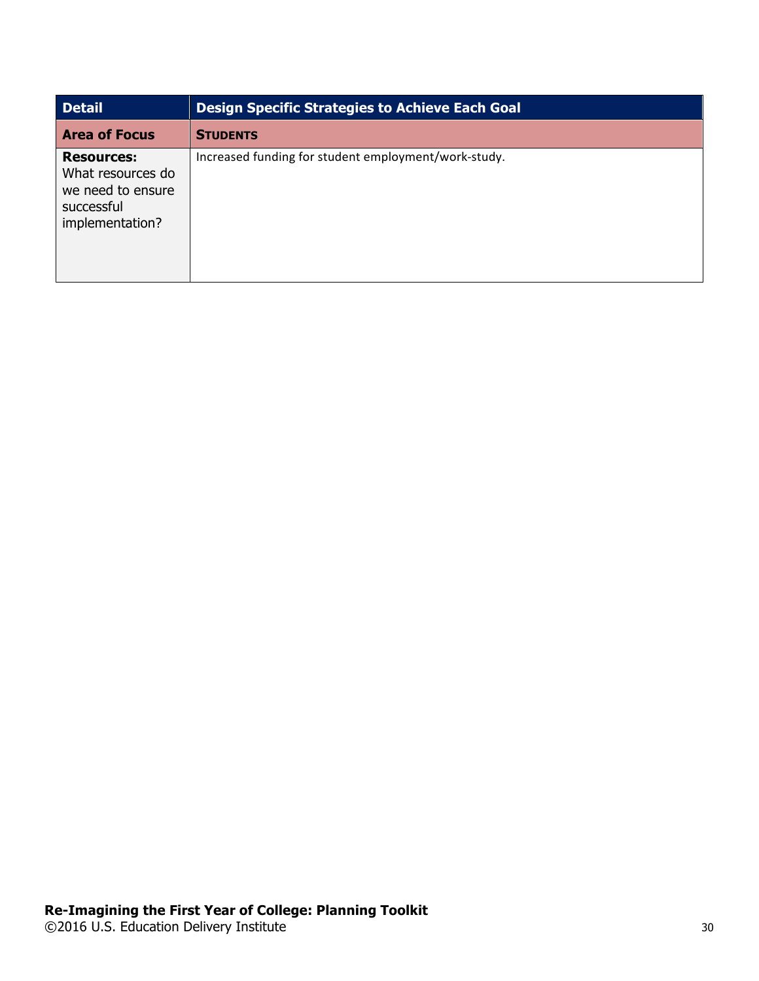| <b>Detail</b>                                                                                | <b>Design Specific Strategies to Achieve Each Goal</b> |
|----------------------------------------------------------------------------------------------|--------------------------------------------------------|
| <b>Area of Focus</b>                                                                         | <b>STUDENTS</b>                                        |
| <b>Resources:</b><br>What resources do<br>we need to ensure<br>successful<br>implementation? | Increased funding for student employment/work-study.   |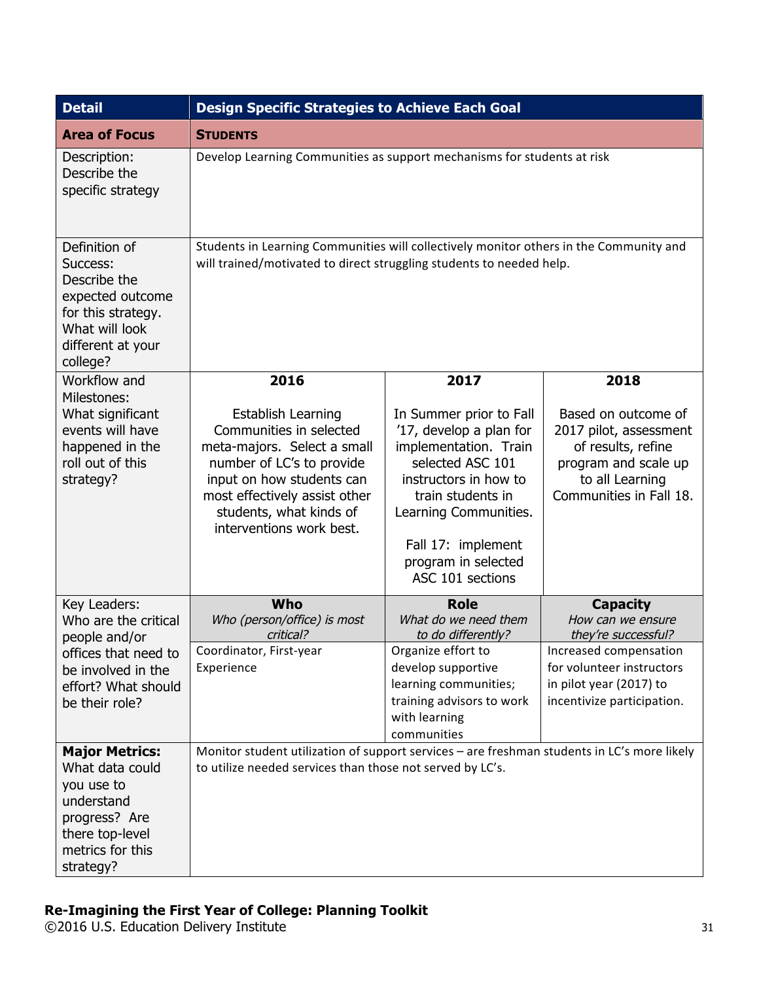| <b>Detail</b>                                                                                                                             | <b>Design Specific Strategies to Achieve Each Goal</b>                                                                                                                                                                         |                                                                                                                                                                                                                                         |                                                                                                                                           |
|-------------------------------------------------------------------------------------------------------------------------------------------|--------------------------------------------------------------------------------------------------------------------------------------------------------------------------------------------------------------------------------|-----------------------------------------------------------------------------------------------------------------------------------------------------------------------------------------------------------------------------------------|-------------------------------------------------------------------------------------------------------------------------------------------|
| <b>Area of Focus</b>                                                                                                                      | <b>STUDENTS</b>                                                                                                                                                                                                                |                                                                                                                                                                                                                                         |                                                                                                                                           |
| Description:<br>Describe the<br>specific strategy                                                                                         | Develop Learning Communities as support mechanisms for students at risk                                                                                                                                                        |                                                                                                                                                                                                                                         |                                                                                                                                           |
| Definition of<br>Success:<br>Describe the<br>expected outcome<br>for this strategy.<br>What will look<br>different at your<br>college?    | Students in Learning Communities will collectively monitor others in the Community and<br>will trained/motivated to direct struggling students to needed help.                                                                 |                                                                                                                                                                                                                                         |                                                                                                                                           |
| Workflow and<br>Milestones:                                                                                                               | 2016                                                                                                                                                                                                                           | 2017                                                                                                                                                                                                                                    | 2018                                                                                                                                      |
| What significant<br>events will have<br>happened in the<br>roll out of this<br>strategy?                                                  | Establish Learning<br>Communities in selected<br>meta-majors. Select a small<br>number of LC's to provide<br>input on how students can<br>most effectively assist other<br>students, what kinds of<br>interventions work best. | In Summer prior to Fall<br>'17, develop a plan for<br>implementation. Train<br>selected ASC 101<br>instructors in how to<br>train students in<br>Learning Communities.<br>Fall 17: implement<br>program in selected<br>ASC 101 sections | Based on outcome of<br>2017 pilot, assessment<br>of results, refine<br>program and scale up<br>to all Learning<br>Communities in Fall 18. |
| Key Leaders:<br>Who are the critical<br>people and/or                                                                                     | Who<br>Who (person/office) is most<br>critical?                                                                                                                                                                                | <b>Role</b><br>What do we need them<br>to do differently?                                                                                                                                                                               | <b>Capacity</b><br>How can we ensure<br>they're successful?                                                                               |
| offices that need to<br>be involved in the<br>effort? What should<br>be their role?                                                       | Coordinator, First-year<br>Experience                                                                                                                                                                                          | Organize effort to<br>develop supportive<br>learning communities;<br>training advisors to work<br>with learning<br>communities                                                                                                          | Increased compensation<br>for volunteer instructors<br>in pilot year (2017) to<br>incentivize participation.                              |
| <b>Major Metrics:</b><br>What data could<br>you use to<br>understand<br>progress? Are<br>there top-level<br>metrics for this<br>strategy? | Monitor student utilization of support services - are freshman students in LC's more likely<br>to utilize needed services than those not served by LC's.                                                                       |                                                                                                                                                                                                                                         |                                                                                                                                           |

©2016 U.S. Education Delivery Institute 31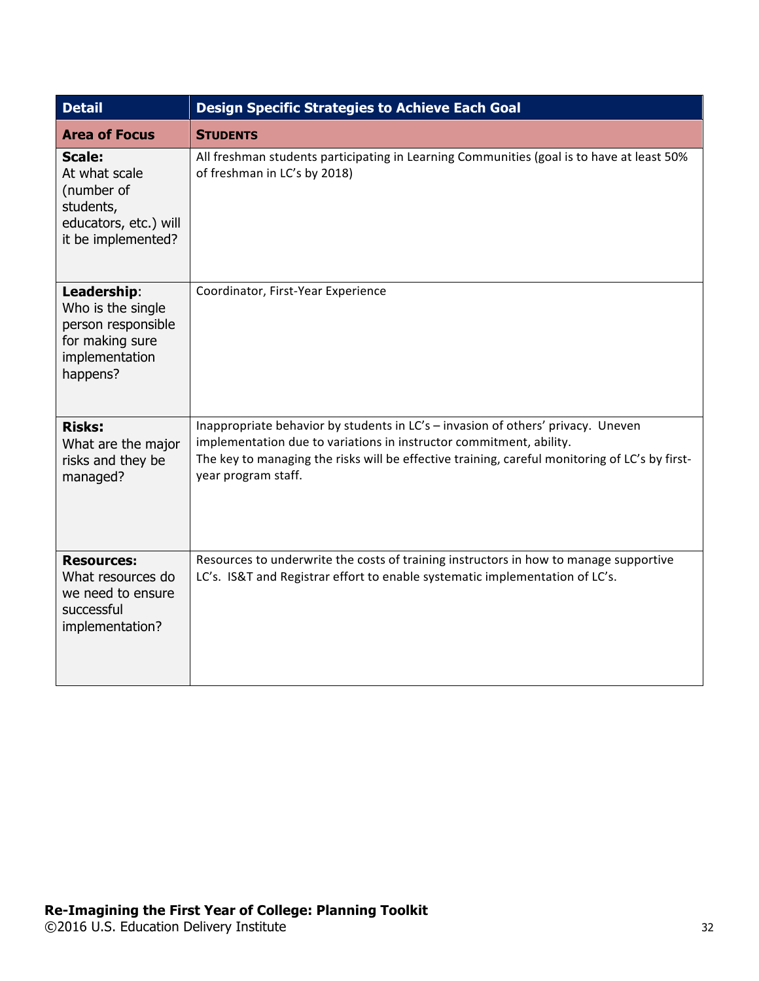| <b>Detail</b>                                                                                            | <b>Design Specific Strategies to Achieve Each Goal</b>                                                                                                                                                                                                                           |  |  |
|----------------------------------------------------------------------------------------------------------|----------------------------------------------------------------------------------------------------------------------------------------------------------------------------------------------------------------------------------------------------------------------------------|--|--|
| <b>Area of Focus</b>                                                                                     | <b>STUDENTS</b>                                                                                                                                                                                                                                                                  |  |  |
| <b>Scale:</b><br>At what scale<br>(number of<br>students,<br>educators, etc.) will<br>it be implemented? | All freshman students participating in Learning Communities (goal is to have at least 50%<br>of freshman in LC's by 2018)                                                                                                                                                        |  |  |
| Leadership:<br>Who is the single<br>person responsible<br>for making sure<br>implementation<br>happens?  | Coordinator, First-Year Experience                                                                                                                                                                                                                                               |  |  |
| <b>Risks:</b><br>What are the major<br>risks and they be<br>managed?                                     | Inappropriate behavior by students in LC's - invasion of others' privacy. Uneven<br>implementation due to variations in instructor commitment, ability.<br>The key to managing the risks will be effective training, careful monitoring of LC's by first-<br>year program staff. |  |  |
| <b>Resources:</b><br>What resources do<br>we need to ensure<br>successful<br>implementation?             | Resources to underwrite the costs of training instructors in how to manage supportive<br>LC's. IS&T and Registrar effort to enable systematic implementation of LC's.                                                                                                            |  |  |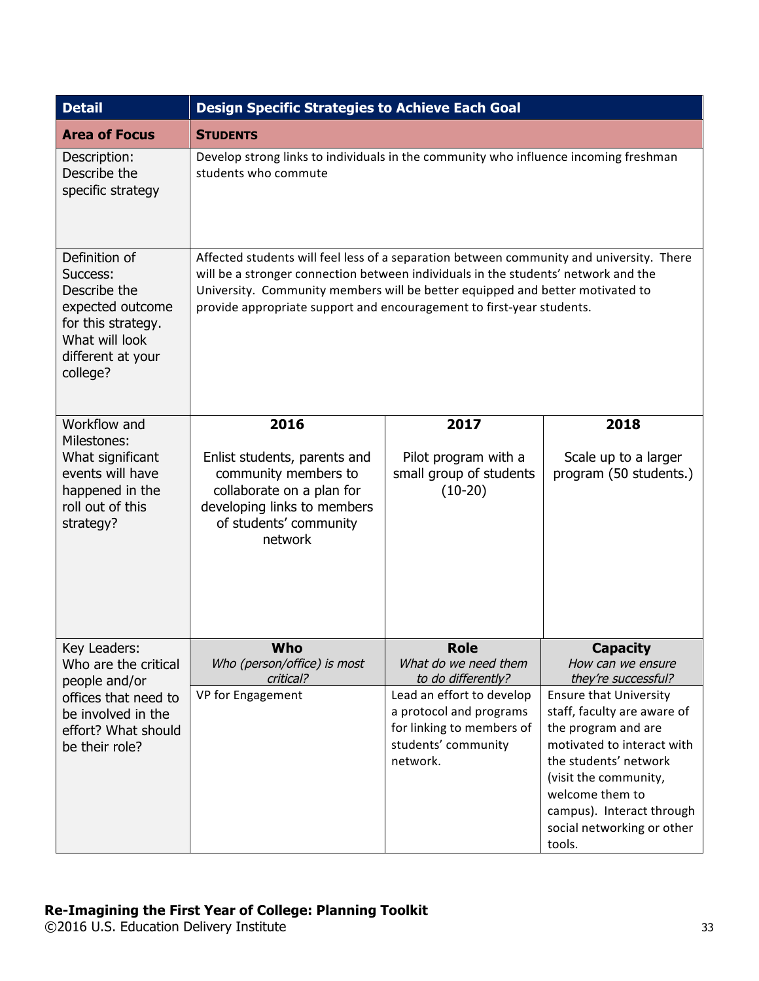| <b>Detail</b>                                                                                                                          | <b>Design Specific Strategies to Achieve Each Goal</b>                                                                                                                                                                                                                                                                                   |                                                                                                                      |                                                                                                                                                                                                                                                             |
|----------------------------------------------------------------------------------------------------------------------------------------|------------------------------------------------------------------------------------------------------------------------------------------------------------------------------------------------------------------------------------------------------------------------------------------------------------------------------------------|----------------------------------------------------------------------------------------------------------------------|-------------------------------------------------------------------------------------------------------------------------------------------------------------------------------------------------------------------------------------------------------------|
| <b>Area of Focus</b>                                                                                                                   | <b>STUDENTS</b>                                                                                                                                                                                                                                                                                                                          |                                                                                                                      |                                                                                                                                                                                                                                                             |
| Description:<br>Describe the<br>specific strategy                                                                                      | Develop strong links to individuals in the community who influence incoming freshman<br>students who commute                                                                                                                                                                                                                             |                                                                                                                      |                                                                                                                                                                                                                                                             |
| Definition of<br>Success:<br>Describe the<br>expected outcome<br>for this strategy.<br>What will look<br>different at your<br>college? | Affected students will feel less of a separation between community and university. There<br>will be a stronger connection between individuals in the students' network and the<br>University. Community members will be better equipped and better motivated to<br>provide appropriate support and encouragement to first-year students. |                                                                                                                      |                                                                                                                                                                                                                                                             |
| Workflow and<br>Milestones:<br>What significant<br>events will have<br>happened in the<br>roll out of this<br>strategy?                | 2016<br>Enlist students, parents and<br>community members to<br>collaborate on a plan for<br>developing links to members<br>of students' community<br>network                                                                                                                                                                            | 2017<br>Pilot program with a<br>small group of students<br>$(10-20)$                                                 | 2018<br>Scale up to a larger<br>program (50 students.)                                                                                                                                                                                                      |
| Key Leaders:<br>Who are the critical<br>people and/or                                                                                  | Who<br>Who (person/office) is most<br>critical?                                                                                                                                                                                                                                                                                          | Role<br>What do we need them<br>to do differently?                                                                   | <b>Capacity</b><br>How can we ensure<br>they're successful?                                                                                                                                                                                                 |
| offices that need to<br>be involved in the<br>effort? What should<br>be their role?                                                    | VP for Engagement                                                                                                                                                                                                                                                                                                                        | Lead an effort to develop<br>a protocol and programs<br>for linking to members of<br>students' community<br>network. | <b>Ensure that University</b><br>staff, faculty are aware of<br>the program and are<br>motivated to interact with<br>the students' network<br>(visit the community,<br>welcome them to<br>campus). Interact through<br>social networking or other<br>tools. |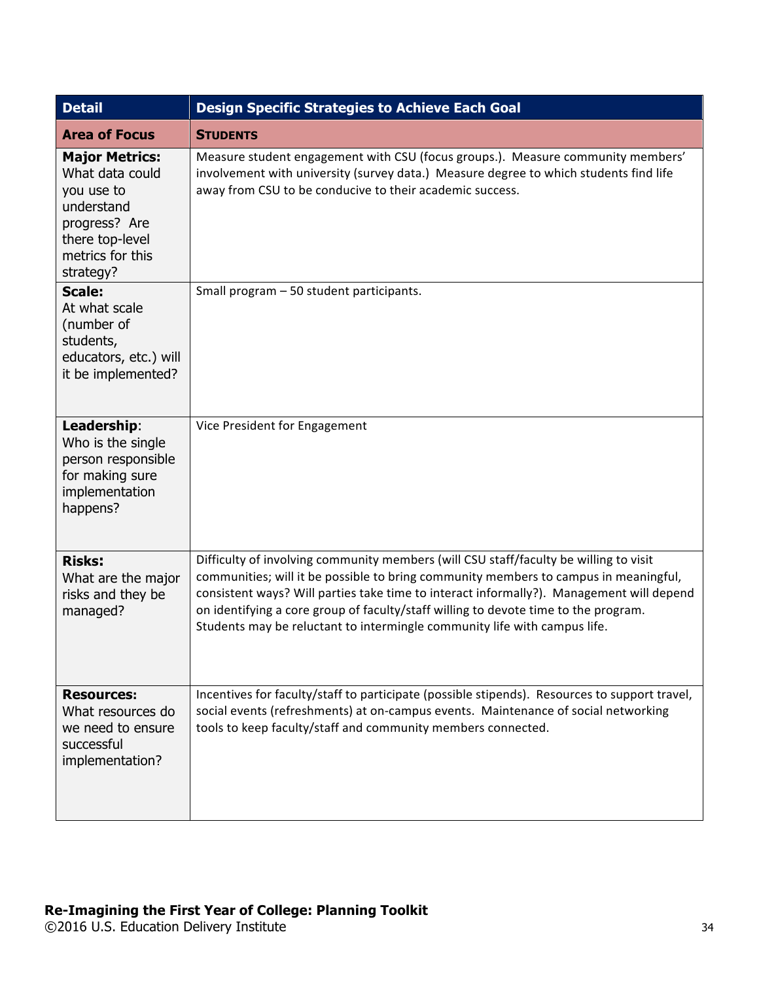| <b>Detail</b>                                                                                                                             | <b>Design Specific Strategies to Achieve Each Goal</b>                                                                                                                                                                                                                                                                                                                                                                                        |  |  |
|-------------------------------------------------------------------------------------------------------------------------------------------|-----------------------------------------------------------------------------------------------------------------------------------------------------------------------------------------------------------------------------------------------------------------------------------------------------------------------------------------------------------------------------------------------------------------------------------------------|--|--|
| <b>Area of Focus</b>                                                                                                                      | <b>STUDENTS</b>                                                                                                                                                                                                                                                                                                                                                                                                                               |  |  |
| <b>Major Metrics:</b><br>What data could<br>you use to<br>understand<br>progress? Are<br>there top-level<br>metrics for this<br>strategy? | Measure student engagement with CSU (focus groups.). Measure community members'<br>involvement with university (survey data.) Measure degree to which students find life<br>away from CSU to be conducive to their academic success.                                                                                                                                                                                                          |  |  |
| <b>Scale:</b><br>At what scale<br>(number of<br>students,<br>educators, etc.) will<br>it be implemented?                                  | Small program - 50 student participants.                                                                                                                                                                                                                                                                                                                                                                                                      |  |  |
| Leadership:<br>Who is the single<br>person responsible<br>for making sure<br>implementation<br>happens?                                   | Vice President for Engagement                                                                                                                                                                                                                                                                                                                                                                                                                 |  |  |
| <b>Risks:</b><br>What are the major<br>risks and they be<br>managed?                                                                      | Difficulty of involving community members (will CSU staff/faculty be willing to visit<br>communities; will it be possible to bring community members to campus in meaningful,<br>consistent ways? Will parties take time to interact informally?). Management will depend<br>on identifying a core group of faculty/staff willing to devote time to the program.<br>Students may be reluctant to intermingle community life with campus life. |  |  |
| <b>Resources:</b><br>What resources do<br>we need to ensure<br>successful<br>implementation?                                              | Incentives for faculty/staff to participate (possible stipends). Resources to support travel,<br>social events (refreshments) at on-campus events. Maintenance of social networking<br>tools to keep faculty/staff and community members connected.                                                                                                                                                                                           |  |  |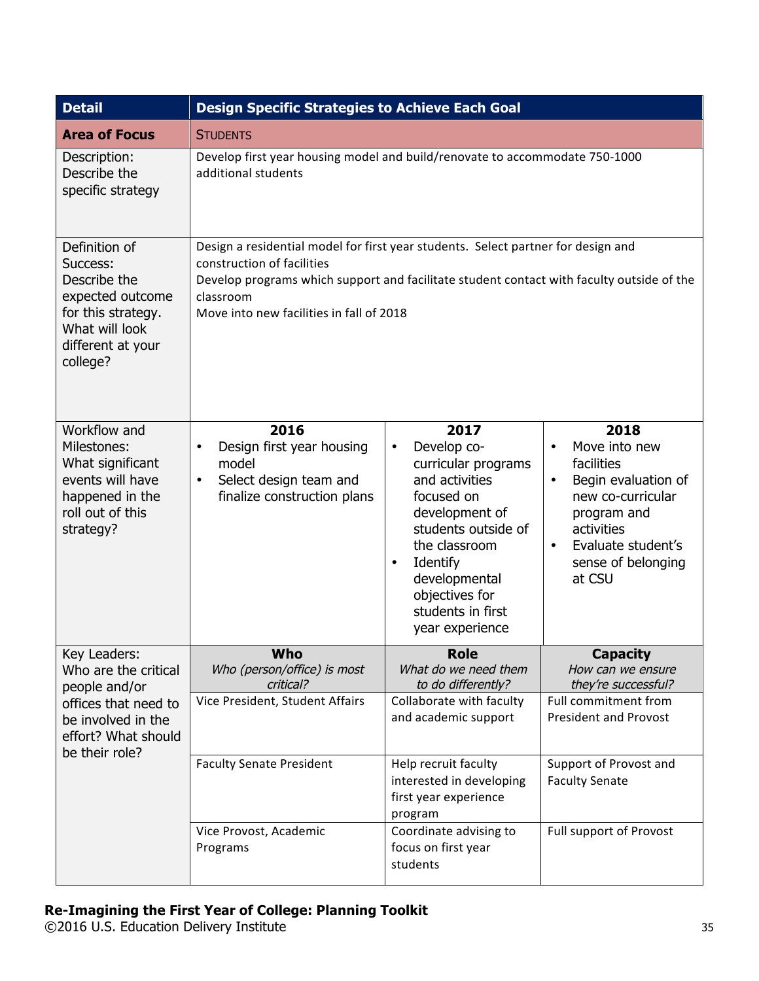| <b>Detail</b>                                                                                                                          | <b>Design Specific Strategies to Achieve Each Goal</b>                                                                                                                                                                                                                |                                                                                                                                                                                                                                                       |                                                                                                                                                                                              |
|----------------------------------------------------------------------------------------------------------------------------------------|-----------------------------------------------------------------------------------------------------------------------------------------------------------------------------------------------------------------------------------------------------------------------|-------------------------------------------------------------------------------------------------------------------------------------------------------------------------------------------------------------------------------------------------------|----------------------------------------------------------------------------------------------------------------------------------------------------------------------------------------------|
| <b>Area of Focus</b>                                                                                                                   | <b>STUDENTS</b>                                                                                                                                                                                                                                                       |                                                                                                                                                                                                                                                       |                                                                                                                                                                                              |
| Description:<br>Describe the<br>specific strategy                                                                                      | Develop first year housing model and build/renovate to accommodate 750-1000<br>additional students                                                                                                                                                                    |                                                                                                                                                                                                                                                       |                                                                                                                                                                                              |
| Definition of<br>Success:<br>Describe the<br>expected outcome<br>for this strategy.<br>What will look<br>different at your<br>college? | Design a residential model for first year students. Select partner for design and<br>construction of facilities<br>Develop programs which support and facilitate student contact with faculty outside of the<br>classroom<br>Move into new facilities in fall of 2018 |                                                                                                                                                                                                                                                       |                                                                                                                                                                                              |
| Workflow and<br>Milestones:<br>What significant<br>events will have<br>happened in the<br>roll out of this<br>strategy?                | 2016<br>Design first year housing<br>$\bullet$<br>model<br>Select design team and<br>$\bullet$<br>finalize construction plans                                                                                                                                         | 2017<br>Develop co-<br>$\bullet$<br>curricular programs<br>and activities<br>focused on<br>development of<br>students outside of<br>the classroom<br>Identify<br>$\bullet$<br>developmental<br>objectives for<br>students in first<br>year experience | 2018<br>Move into new<br>$\bullet$<br>facilities<br>Begin evaluation of<br>new co-curricular<br>program and<br>activities<br>Evaluate student's<br>$\bullet$<br>sense of belonging<br>at CSU |
| Key Leaders:<br>Who are the critical<br>people and/or                                                                                  | Who<br>Who (person/office) is most<br>critical?                                                                                                                                                                                                                       | <b>Role</b><br>What do we need them<br>to do differently?                                                                                                                                                                                             | <b>Capacity</b><br>How can we ensure<br>they're successful?                                                                                                                                  |
| offices that need to<br>be involved in the<br>effort? What should<br>be their role?                                                    | Vice President, Student Affairs                                                                                                                                                                                                                                       | Collaborate with faculty<br>and academic support                                                                                                                                                                                                      | Full commitment from<br><b>President and Provost</b>                                                                                                                                         |
|                                                                                                                                        | <b>Faculty Senate President</b>                                                                                                                                                                                                                                       | Help recruit faculty<br>interested in developing<br>first year experience<br>program                                                                                                                                                                  | Support of Provost and<br><b>Faculty Senate</b>                                                                                                                                              |
|                                                                                                                                        | Vice Provost, Academic<br>Programs                                                                                                                                                                                                                                    | Coordinate advising to<br>focus on first year<br>students                                                                                                                                                                                             | Full support of Provost                                                                                                                                                                      |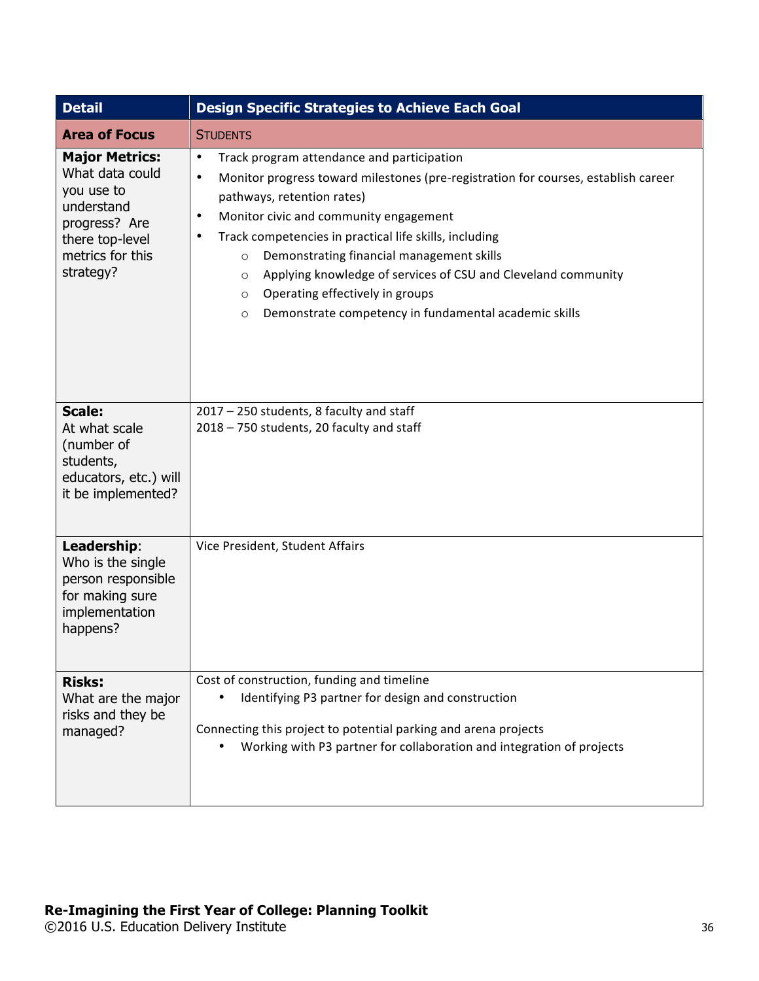| <b>Detail</b>                                                                                                                             | <b>Design Specific Strategies to Achieve Each Goal</b>                                                                                                                                                                                                                                                                                                                                                                                                                                                                                                                       |  |  |
|-------------------------------------------------------------------------------------------------------------------------------------------|------------------------------------------------------------------------------------------------------------------------------------------------------------------------------------------------------------------------------------------------------------------------------------------------------------------------------------------------------------------------------------------------------------------------------------------------------------------------------------------------------------------------------------------------------------------------------|--|--|
| <b>Area of Focus</b>                                                                                                                      | <b>STUDENTS</b>                                                                                                                                                                                                                                                                                                                                                                                                                                                                                                                                                              |  |  |
| <b>Major Metrics:</b><br>What data could<br>you use to<br>understand<br>progress? Are<br>there top-level<br>metrics for this<br>strategy? | $\bullet$<br>Track program attendance and participation<br>Monitor progress toward milestones (pre-registration for courses, establish career<br>$\bullet$<br>pathways, retention rates)<br>Monitor civic and community engagement<br>$\bullet$<br>Track competencies in practical life skills, including<br>$\bullet$<br>Demonstrating financial management skills<br>$\circ$<br>Applying knowledge of services of CSU and Cleveland community<br>$\circ$<br>Operating effectively in groups<br>$\circ$<br>Demonstrate competency in fundamental academic skills<br>$\circ$ |  |  |
| <b>Scale:</b><br>At what scale<br>(number of<br>students,<br>educators, etc.) will<br>it be implemented?                                  | 2017 - 250 students, 8 faculty and staff<br>2018 - 750 students, 20 faculty and staff                                                                                                                                                                                                                                                                                                                                                                                                                                                                                        |  |  |
| Leadership:<br>Who is the single<br>person responsible<br>for making sure<br>implementation<br>happens?                                   | Vice President, Student Affairs                                                                                                                                                                                                                                                                                                                                                                                                                                                                                                                                              |  |  |
| <b>Risks:</b><br>What are the major<br>risks and they be<br>managed?                                                                      | Cost of construction, funding and timeline<br>Identifying P3 partner for design and construction<br>Connecting this project to potential parking and arena projects<br>Working with P3 partner for collaboration and integration of projects                                                                                                                                                                                                                                                                                                                                 |  |  |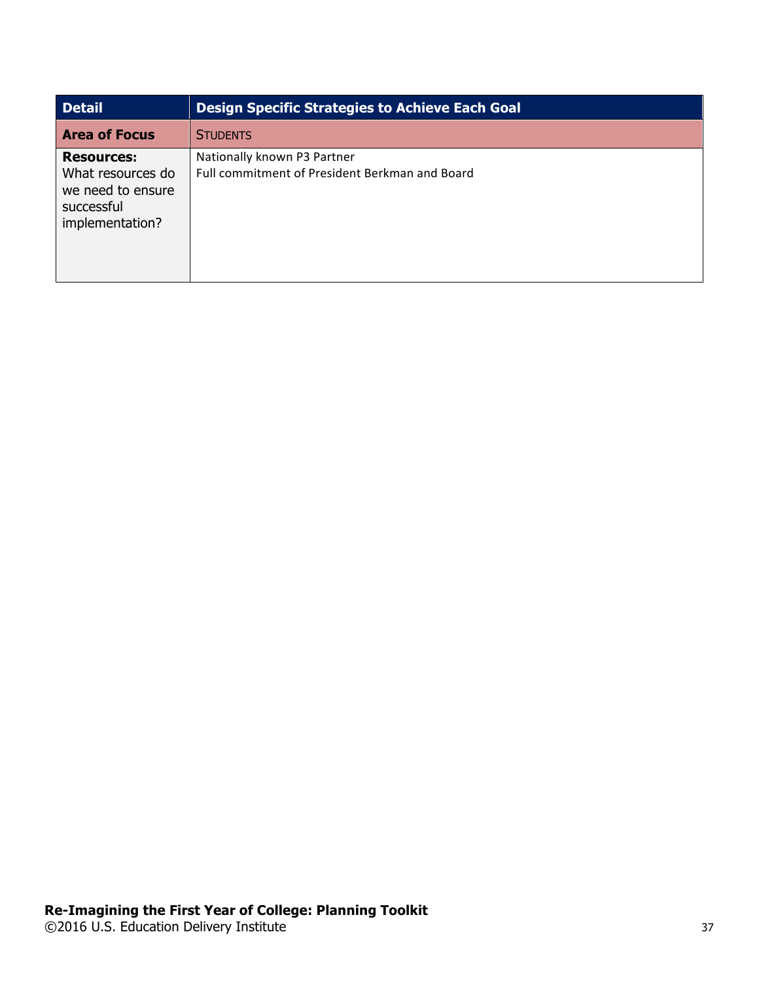| <b>Detail</b>                                                                                | <b>Design Specific Strategies to Achieve Each Goal</b>                        |
|----------------------------------------------------------------------------------------------|-------------------------------------------------------------------------------|
| <b>Area of Focus</b>                                                                         | <b>STUDENTS</b>                                                               |
| <b>Resources:</b><br>What resources do<br>we need to ensure<br>successful<br>implementation? | Nationally known P3 Partner<br>Full commitment of President Berkman and Board |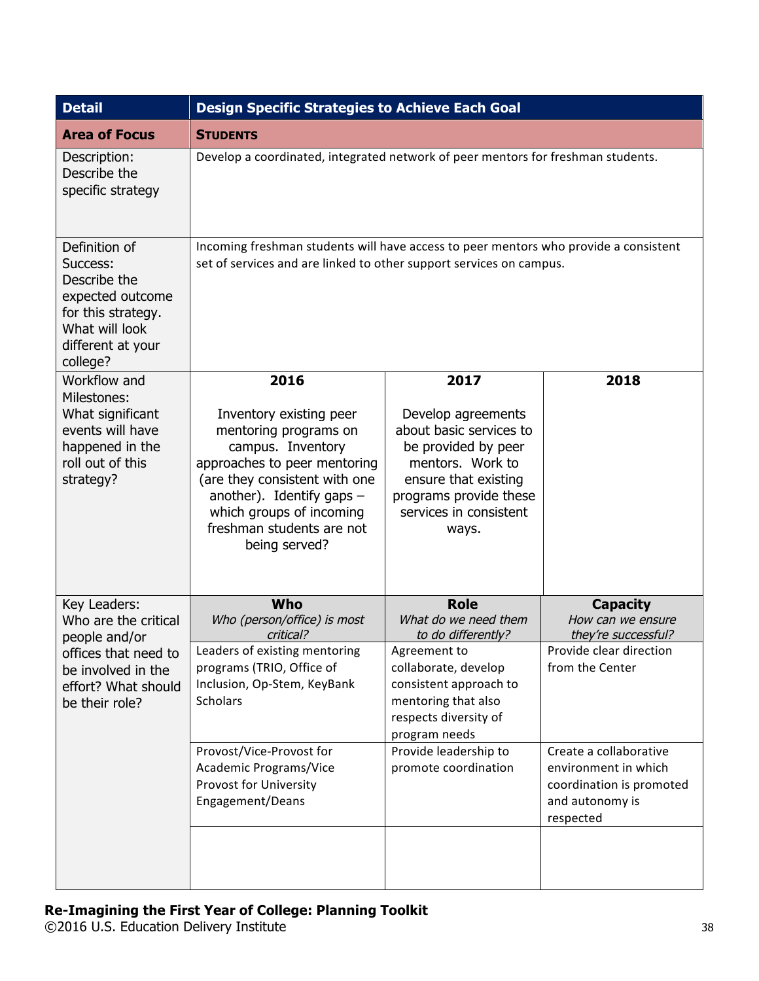| <b>Detail</b>                                                                                                                                | <b>Design Specific Strategies to Achieve Each Goal</b>                                                                                                                                                                                                  |                                                                                                                                                                                       |                                                                                                            |  |
|----------------------------------------------------------------------------------------------------------------------------------------------|---------------------------------------------------------------------------------------------------------------------------------------------------------------------------------------------------------------------------------------------------------|---------------------------------------------------------------------------------------------------------------------------------------------------------------------------------------|------------------------------------------------------------------------------------------------------------|--|
| <b>Area of Focus</b>                                                                                                                         | <b>STUDENTS</b>                                                                                                                                                                                                                                         |                                                                                                                                                                                       |                                                                                                            |  |
| Description:<br>Describe the<br>specific strategy                                                                                            | Develop a coordinated, integrated network of peer mentors for freshman students.                                                                                                                                                                        |                                                                                                                                                                                       |                                                                                                            |  |
| Definition of<br>Success:<br>Describe the<br>expected outcome<br>for this strategy.<br>What will look<br>different at your<br>college?       | Incoming freshman students will have access to peer mentors who provide a consistent<br>set of services and are linked to other support services on campus.                                                                                             |                                                                                                                                                                                       |                                                                                                            |  |
| Workflow and<br>Milestones:<br>What significant<br>events will have<br>happened in the<br>roll out of this<br>strategy?                      | 2016<br>Inventory existing peer<br>mentoring programs on<br>campus. Inventory<br>approaches to peer mentoring<br>(are they consistent with one<br>another). Identify gaps $-$<br>which groups of incoming<br>freshman students are not<br>being served? | 2017<br>Develop agreements<br>about basic services to<br>be provided by peer<br>mentors. Work to<br>ensure that existing<br>programs provide these<br>services in consistent<br>ways. | 2018                                                                                                       |  |
| Key Leaders:<br>Who are the critical<br>people and/or<br>offices that need to<br>be involved in the<br>effort? What should<br>be their role? | Who<br>Who (person/office) is most<br>critical?                                                                                                                                                                                                         | <b>Role</b><br>What do we need them<br>to do differently?                                                                                                                             | <b>Capacity</b><br>How can we ensure<br>they're successful?                                                |  |
|                                                                                                                                              | Leaders of existing mentoring<br>programs (TRIO, Office of<br>Inclusion, Op-Stem, KeyBank<br><b>Scholars</b>                                                                                                                                            | Agreement to<br>collaborate, develop<br>consistent approach to<br>mentoring that also<br>respects diversity of<br>program needs                                                       | Provide clear direction<br>from the Center                                                                 |  |
|                                                                                                                                              | Provost/Vice-Provost for<br>Academic Programs/Vice<br>Provost for University<br>Engagement/Deans                                                                                                                                                        | Provide leadership to<br>promote coordination                                                                                                                                         | Create a collaborative<br>environment in which<br>coordination is promoted<br>and autonomy is<br>respected |  |
|                                                                                                                                              |                                                                                                                                                                                                                                                         |                                                                                                                                                                                       |                                                                                                            |  |